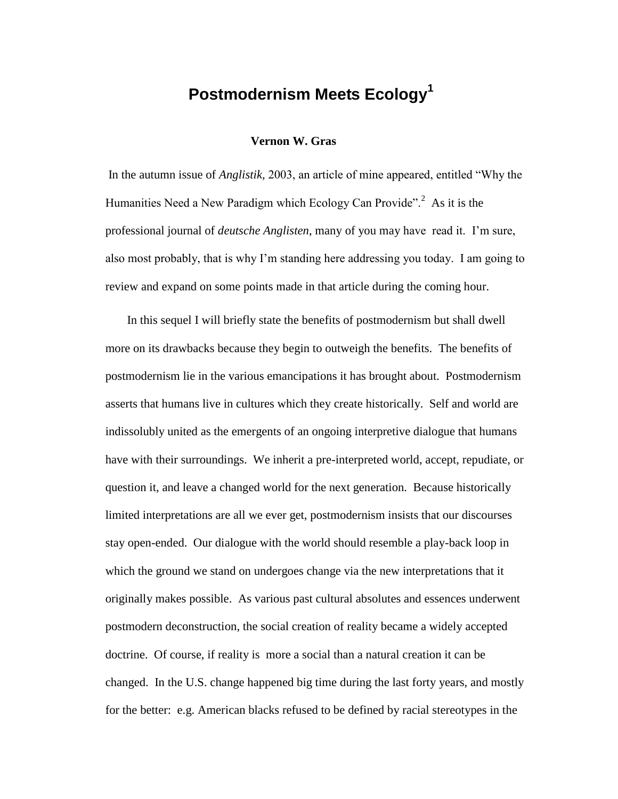## **Postmodernism Meets Ecology<sup>1</sup>**

## **Vernon W. Gras**

In the autumn issue of *Anglistik,* 2003, an article of mine appeared, entitled "Why the Humanities Need a New Paradigm which Ecology Can Provide".<sup>2</sup> As it is the professional journal of *deutsche Anglisten*, many of you may have read it. I'm sure, also most probably, that is why I'm standing here addressing you today. I am going to review and expand on some points made in that article during the coming hour.

In this sequel I will briefly state the benefits of postmodernism but shall dwell more on its drawbacks because they begin to outweigh the benefits. The benefits of postmodernism lie in the various emancipations it has brought about. Postmodernism asserts that humans live in cultures which they create historically. Self and world are indissolubly united as the emergents of an ongoing interpretive dialogue that humans have with their surroundings. We inherit a pre-interpreted world, accept, repudiate, or question it, and leave a changed world for the next generation. Because historically limited interpretations are all we ever get, postmodernism insists that our discourses stay open-ended. Our dialogue with the world should resemble a play-back loop in which the ground we stand on undergoes change via the new interpretations that it originally makes possible. As various past cultural absolutes and essences underwent postmodern deconstruction, the social creation of reality became a widely accepted doctrine. Of course, if reality is more a social than a natural creation it can be changed. In the U.S. change happened big time during the last forty years, and mostly for the better: e.g. American blacks refused to be defined by racial stereotypes in the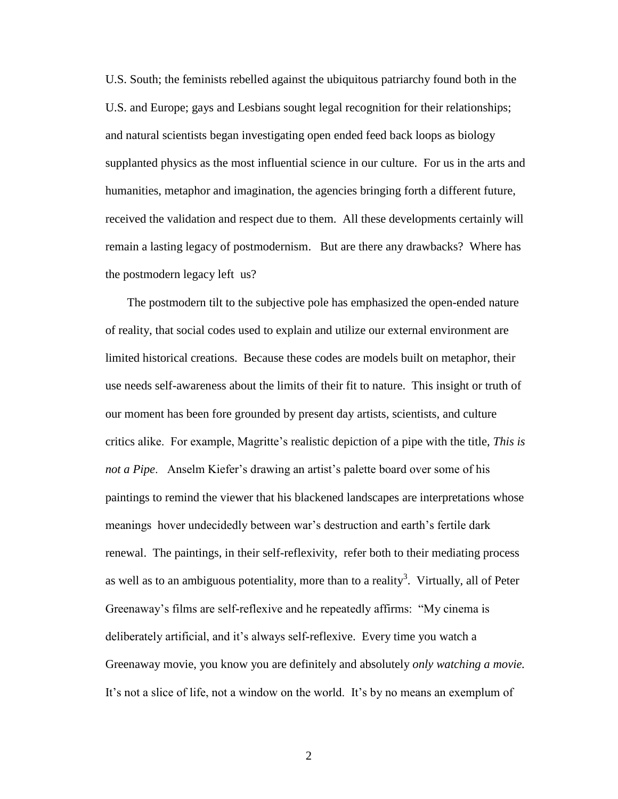U.S. South; the feminists rebelled against the ubiquitous patriarchy found both in the U.S. and Europe; gays and Lesbians sought legal recognition for their relationships; and natural scientists began investigating open ended feed back loops as biology supplanted physics as the most influential science in our culture. For us in the arts and humanities, metaphor and imagination, the agencies bringing forth a different future, received the validation and respect due to them. All these developments certainly will remain a lasting legacy of postmodernism. But are there any drawbacks? Where has the postmodern legacy left us?

The postmodern tilt to the subjective pole has emphasized the open-ended nature of reality, that social codes used to explain and utilize our external environment are limited historical creations. Because these codes are models built on metaphor, their use needs self-awareness about the limits of their fit to nature. This insight or truth of our moment has been fore grounded by present day artists, scientists, and culture critics alike. For example, Magritte's realistic depiction of a pipe with the title, *This is not a Pipe*. Anselm Kiefer's drawing an artist's palette board over some of his paintings to remind the viewer that his blackened landscapes are interpretations whose meanings hover undecidedly between war's destruction and earth's fertile dark renewal. The paintings, in their self-reflexivity, refer both to their mediating process as well as to an ambiguous potentiality, more than to a reality<sup>3</sup>. Virtually, all of Peter Greenaway's films are self-reflexive and he repeatedly affirms: "My cinema is deliberately artificial, and it's always self-reflexive. Every time you watch a Greenaway movie, you know you are definitely and absolutely *only watching a movie.* It's not a slice of life, not a window on the world. It's by no means an exemplum of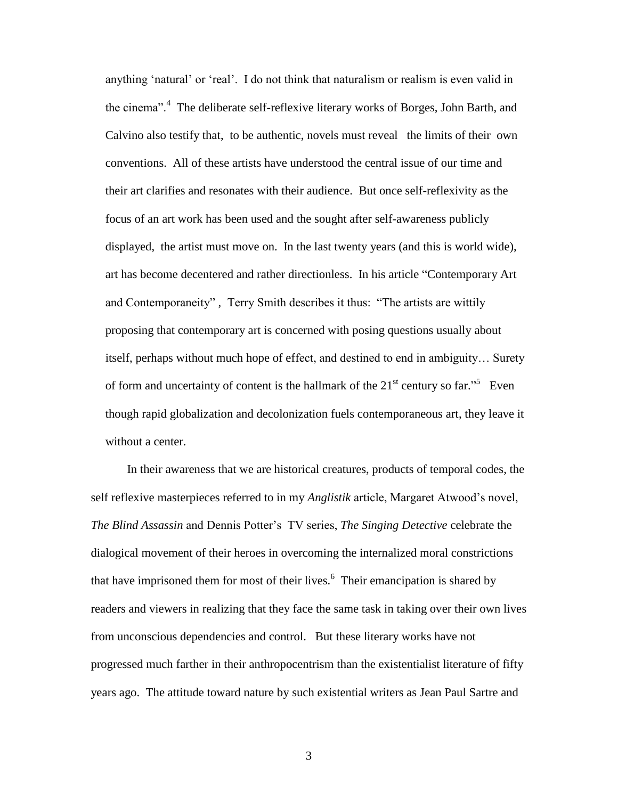anything 'natural' or 'real'. I do not think that naturalism or realism is even valid in the cinema".<sup>4</sup> The deliberate self-reflexive literary works of Borges, John Barth, and Calvino also testify that, to be authentic, novels must reveal the limits of their own conventions. All of these artists have understood the central issue of our time and their art clarifies and resonates with their audience. But once self-reflexivity as the focus of an art work has been used and the sought after self-awareness publicly displayed, the artist must move on. In the last twenty years (and this is world wide), art has become decentered and rather directionless. In his article "Contemporary Art and Contemporaneity" , Terry Smith describes it thus: "The artists are wittily proposing that contemporary art is concerned with posing questions usually about itself, perhaps without much hope of effect, and destined to end in ambiguity… Surety of form and uncertainty of content is the hallmark of the  $21<sup>st</sup>$  century so far.<sup>"5</sup> Even though rapid globalization and decolonization fuels contemporaneous art, they leave it without a center.

In their awareness that we are historical creatures, products of temporal codes, the self reflexive masterpieces referred to in my *Anglistik* article, Margaret Atwood's novel, *The Blind Assassin* and Dennis Potter's TV series, *The Singing Detective* celebrate the dialogical movement of their heroes in overcoming the internalized moral constrictions that have imprisoned them for most of their lives.<sup>6</sup> Their emancipation is shared by readers and viewers in realizing that they face the same task in taking over their own lives from unconscious dependencies and control. But these literary works have not progressed much farther in their anthropocentrism than the existentialist literature of fifty years ago. The attitude toward nature by such existential writers as Jean Paul Sartre and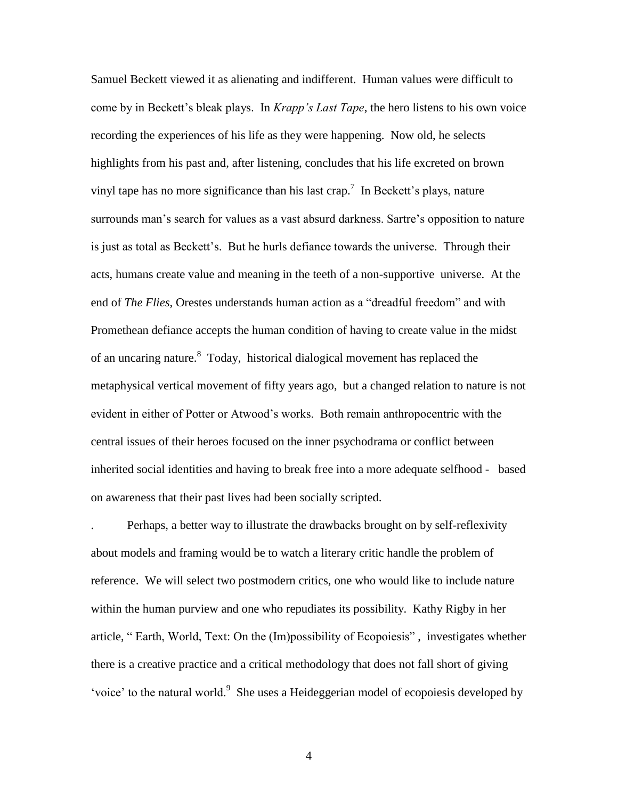Samuel Beckett viewed it as alienating and indifferent. Human values were difficult to come by in Beckett's bleak plays. In *Krapp's Last Tape*, the hero listens to his own voice recording the experiences of his life as they were happening. Now old, he selects highlights from his past and, after listening, concludes that his life excreted on brown vinyl tape has no more significance than his last crap.<sup>7</sup> In Beckett's plays, nature surrounds man's search for values as a vast absurd darkness. Sartre's opposition to nature is just as total as Beckett's. But he hurls defiance towards the universe. Through their acts, humans create value and meaning in the teeth of a non-supportive universe. At the end of *The Flies*, Orestes understands human action as a "dreadful freedom" and with Promethean defiance accepts the human condition of having to create value in the midst of an uncaring nature.<sup>8</sup> Today, historical dialogical movement has replaced the metaphysical vertical movement of fifty years ago, but a changed relation to nature is not evident in either of Potter or Atwood's works. Both remain anthropocentric with the central issues of their heroes focused on the inner psychodrama or conflict between inherited social identities and having to break free into a more adequate selfhood - based on awareness that their past lives had been socially scripted.

. Perhaps, a better way to illustrate the drawbacks brought on by self-reflexivity about models and framing would be to watch a literary critic handle the problem of reference. We will select two postmodern critics, one who would like to include nature within the human purview and one who repudiates its possibility. Kathy Rigby in her article, " Earth, World, Text: On the (Im)possibility of Ecopoiesis" , investigates whether there is a creative practice and a critical methodology that does not fall short of giving 'voice' to the natural world.<sup>9</sup> She uses a Heideggerian model of ecopoiesis developed by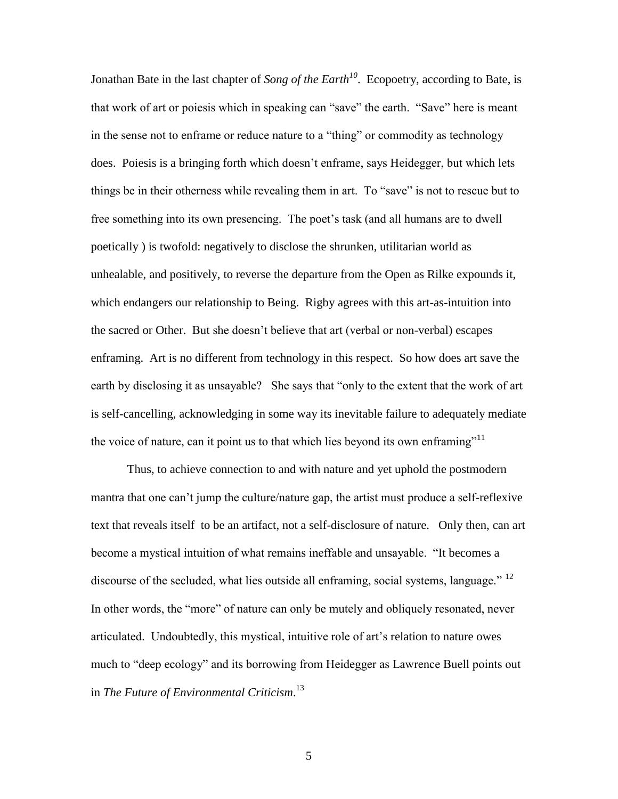Jonathan Bate in the last chapter of *Song of the Earth<sup>10</sup>*. Ecopoetry, according to Bate, is that work of art or poiesis which in speaking can "save" the earth. "Save" here is meant in the sense not to enframe or reduce nature to a "thing" or commodity as technology does. Poiesis is a bringing forth which doesn't enframe, says Heidegger, but which lets things be in their otherness while revealing them in art. To "save" is not to rescue but to free something into its own presencing. The poet's task (and all humans are to dwell poetically ) is twofold: negatively to disclose the shrunken, utilitarian world as unhealable, and positively, to reverse the departure from the Open as Rilke expounds it, which endangers our relationship to Being. Rigby agrees with this art-as-intuition into the sacred or Other. But she doesn't believe that art (verbal or non-verbal) escapes enframing. Art is no different from technology in this respect. So how does art save the earth by disclosing it as unsayable? She says that "only to the extent that the work of art is self-cancelling, acknowledging in some way its inevitable failure to adequately mediate the voice of nature, can it point us to that which lies beyond its own enframing"<sup>11</sup>

Thus, to achieve connection to and with nature and yet uphold the postmodern mantra that one can't jump the culture/nature gap, the artist must produce a self-reflexive text that reveals itself to be an artifact, not a self-disclosure of nature. Only then, can art become a mystical intuition of what remains ineffable and unsayable. "It becomes a discourse of the secluded, what lies outside all enframing, social systems, language."  $^{12}$ In other words, the "more" of nature can only be mutely and obliquely resonated, never articulated. Undoubtedly, this mystical, intuitive role of art's relation to nature owes much to "deep ecology" and its borrowing from Heidegger as Lawrence Buell points out in *The Future of Environmental Criticism*. 13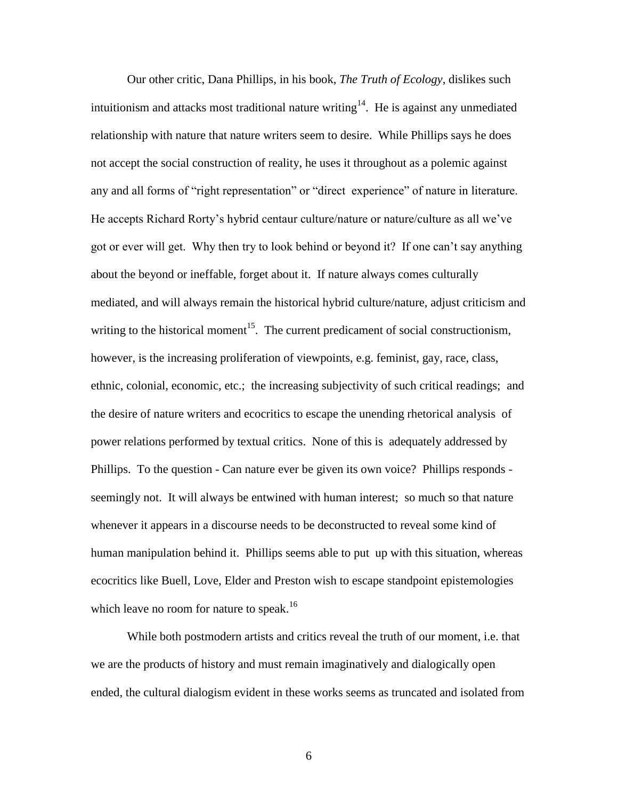Our other critic, Dana Phillips, in his book, *The Truth of Ecology*, dislikes such intuitionism and attacks most traditional nature writing<sup>14</sup>. He is against any unmediated relationship with nature that nature writers seem to desire. While Phillips says he does not accept the social construction of reality, he uses it throughout as a polemic against any and all forms of "right representation" or "direct experience" of nature in literature. He accepts Richard Rorty's hybrid centaur culture/nature or nature/culture as all we've got or ever will get. Why then try to look behind or beyond it? If one can't say anything about the beyond or ineffable, forget about it. If nature always comes culturally mediated, and will always remain the historical hybrid culture/nature, adjust criticism and writing to the historical moment<sup>15</sup>. The current predicament of social constructionism, however, is the increasing proliferation of viewpoints, e.g. feminist, gay, race, class, ethnic, colonial, economic, etc.; the increasing subjectivity of such critical readings; and the desire of nature writers and ecocritics to escape the unending rhetorical analysis of power relations performed by textual critics. None of this is adequately addressed by Phillips. To the question - Can nature ever be given its own voice? Phillips responds seemingly not. It will always be entwined with human interest; so much so that nature whenever it appears in a discourse needs to be deconstructed to reveal some kind of human manipulation behind it. Phillips seems able to put up with this situation, whereas ecocritics like Buell, Love, Elder and Preston wish to escape standpoint epistemologies which leave no room for nature to speak.<sup>16</sup>

While both postmodern artists and critics reveal the truth of our moment, i.e. that we are the products of history and must remain imaginatively and dialogically open ended, the cultural dialogism evident in these works seems as truncated and isolated from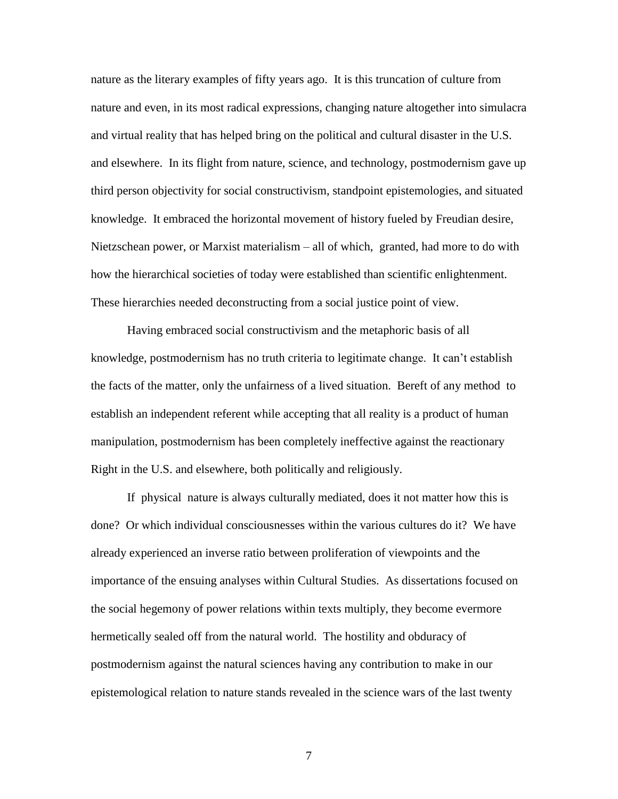nature as the literary examples of fifty years ago. It is this truncation of culture from nature and even, in its most radical expressions, changing nature altogether into simulacra and virtual reality that has helped bring on the political and cultural disaster in the U.S. and elsewhere. In its flight from nature, science, and technology, postmodernism gave up third person objectivity for social constructivism, standpoint epistemologies, and situated knowledge. It embraced the horizontal movement of history fueled by Freudian desire, Nietzschean power, or Marxist materialism – all of which, granted, had more to do with how the hierarchical societies of today were established than scientific enlightenment. These hierarchies needed deconstructing from a social justice point of view.

Having embraced social constructivism and the metaphoric basis of all knowledge, postmodernism has no truth criteria to legitimate change. It can't establish the facts of the matter, only the unfairness of a lived situation. Bereft of any method to establish an independent referent while accepting that all reality is a product of human manipulation, postmodernism has been completely ineffective against the reactionary Right in the U.S. and elsewhere, both politically and religiously.

If physical nature is always culturally mediated, does it not matter how this is done? Or which individual consciousnesses within the various cultures do it? We have already experienced an inverse ratio between proliferation of viewpoints and the importance of the ensuing analyses within Cultural Studies. As dissertations focused on the social hegemony of power relations within texts multiply, they become evermore hermetically sealed off from the natural world. The hostility and obduracy of postmodernism against the natural sciences having any contribution to make in our epistemological relation to nature stands revealed in the science wars of the last twenty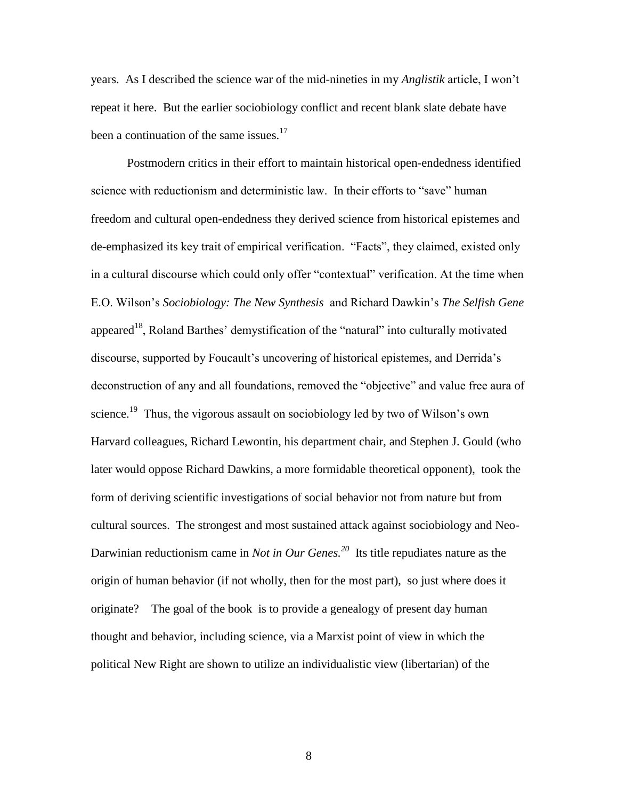years. As I described the science war of the mid-nineties in my *Anglistik* article, I won't repeat it here. But the earlier sociobiology conflict and recent blank slate debate have been a continuation of the same issues.<sup>17</sup>

Postmodern critics in their effort to maintain historical open-endedness identified science with reductionism and deterministic law. In their efforts to "save" human freedom and cultural open-endedness they derived science from historical epistemes and de-emphasized its key trait of empirical verification. "Facts", they claimed, existed only in a cultural discourse which could only offer "contextual" verification. At the time when E.O. Wilson's *Sociobiology: The New Synthesis* and Richard Dawkin's *The Selfish Gene* appeared<sup>18</sup>, Roland Barthes' demystification of the "natural" into culturally motivated discourse, supported by Foucault's uncovering of historical epistemes, and Derrida's deconstruction of any and all foundations, removed the "objective" and value free aura of science.<sup>19</sup> Thus, the vigorous assault on sociobiology led by two of Wilson's own Harvard colleagues, Richard Lewontin, his department chair, and Stephen J. Gould (who later would oppose Richard Dawkins, a more formidable theoretical opponent), took the form of deriving scientific investigations of social behavior not from nature but from cultural sources. The strongest and most sustained attack against sociobiology and Neo-Darwinian reductionism came in *Not in Our Genes.*<sup>20</sup> Its title repudiates nature as the origin of human behavior (if not wholly, then for the most part), so just where does it originate? The goal of the book is to provide a genealogy of present day human thought and behavior, including science, via a Marxist point of view in which the political New Right are shown to utilize an individualistic view (libertarian) of the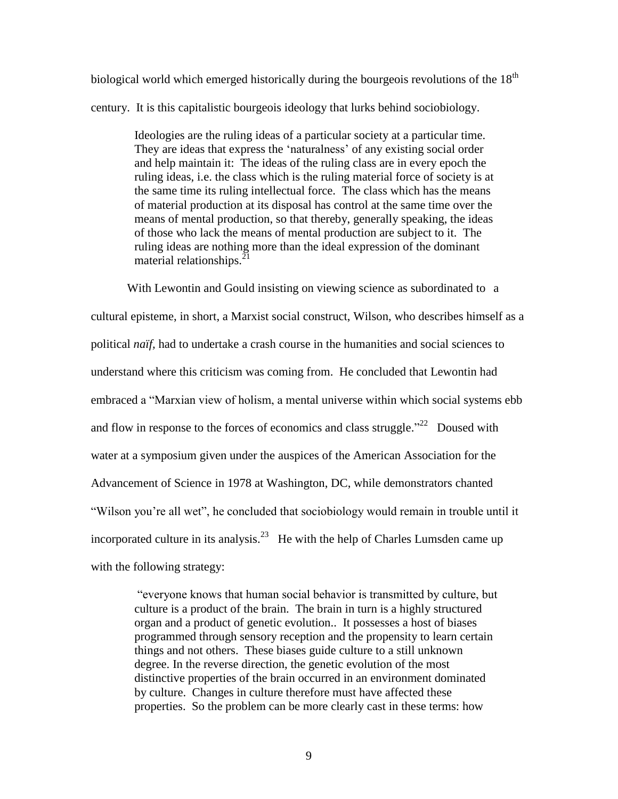biological world which emerged historically during the bourgeois revolutions of the  $18<sup>th</sup>$ century. It is this capitalistic bourgeois ideology that lurks behind sociobiology.

> Ideologies are the ruling ideas of a particular society at a particular time. They are ideas that express the 'naturalness' of any existing social order and help maintain it: The ideas of the ruling class are in every epoch the ruling ideas, i.e. the class which is the ruling material force of society is at the same time its ruling intellectual force. The class which has the means of material production at its disposal has control at the same time over the means of mental production, so that thereby, generally speaking, the ideas of those who lack the means of mental production are subject to it. The ruling ideas are nothing more than the ideal expression of the dominant material relationships. $^{21}$

With Lewontin and Gould insisting on viewing science as subordinated to a cultural episteme, in short, a Marxist social construct, Wilson, who describes himself as a political *naïf,* had to undertake a crash course in the humanities and social sciences to understand where this criticism was coming from. He concluded that Lewontin had embraced a "Marxian view of holism, a mental universe within which social systems ebb and flow in response to the forces of economics and class struggle."<sup>22</sup> Doused with water at a symposium given under the auspices of the American Association for the Advancement of Science in 1978 at Washington, DC, while demonstrators chanted "Wilson you're all wet", he concluded that sociobiology would remain in trouble until it incorporated culture in its analysis.<sup>23</sup> He with the help of Charles Lumsden came up with the following strategy:

"everyone knows that human social behavior is transmitted by culture, but culture is a product of the brain. The brain in turn is a highly structured organ and a product of genetic evolution.. It possesses a host of biases programmed through sensory reception and the propensity to learn certain things and not others. These biases guide culture to a still unknown degree. In the reverse direction, the genetic evolution of the most distinctive properties of the brain occurred in an environment dominated by culture. Changes in culture therefore must have affected these properties. So the problem can be more clearly cast in these terms: how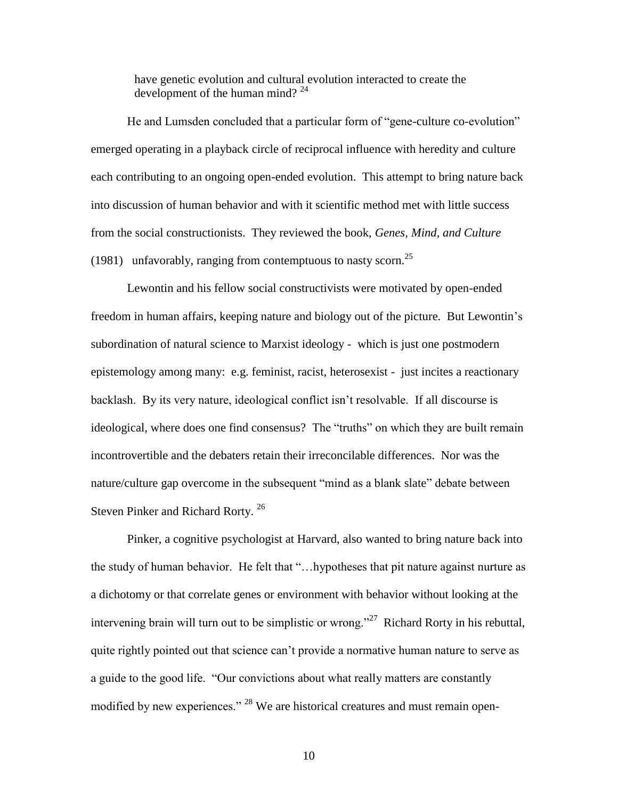have genetic evolution and cultural evolution interacted to create the development of the human mind?<sup>24</sup>

He and Lumsden concluded that a particular form of "gene-culture co-evolution" emerged operating in a playback circle of reciprocal influence with heredity and culture each contributing to an ongoing open-ended evolution. This attempt to bring nature back into discussion of human behavior and with it scientific method met with little success from the social constructionists. They reviewed the book, *Genes, Mind, and Culture* (1981) unfavorably, ranging from contemptuous to nasty scorn.<sup>25</sup>

Lewontin and his fellow social constructivists were motivated by open-ended freedom in human affairs, keeping nature and biology out of the picture. But Lewontin's subordination of natural science to Marxist ideology - which is just one postmodern epistemology among many: e.g. feminist, racist, heterosexist - just incites a reactionary backlash. By its very nature, ideological conflict isn't resolvable. If all discourse is ideological, where does one find consensus? The "truths" on which they are built remain incontrovertible and the debaters retain their irreconcilable differences. Nor was the nature/culture gap overcome in the subsequent "mind as a blank slate" debate between Steven Pinker and Richard Rorty.<sup>26</sup>

Pinker, a cognitive psychologist at Harvard, also wanted to bring nature back into the study of human behavior. He felt that "…hypotheses that pit nature against nurture as a dichotomy or that correlate genes or environment with behavior without looking at the intervening brain will turn out to be simplistic or wrong."<sup>27</sup> Richard Rorty in his rebuttal, quite rightly pointed out that science can't provide a normative human nature to serve as a guide to the good life. "Our convictions about what really matters are constantly modified by new experiences." <sup>28</sup> We are historical creatures and must remain open-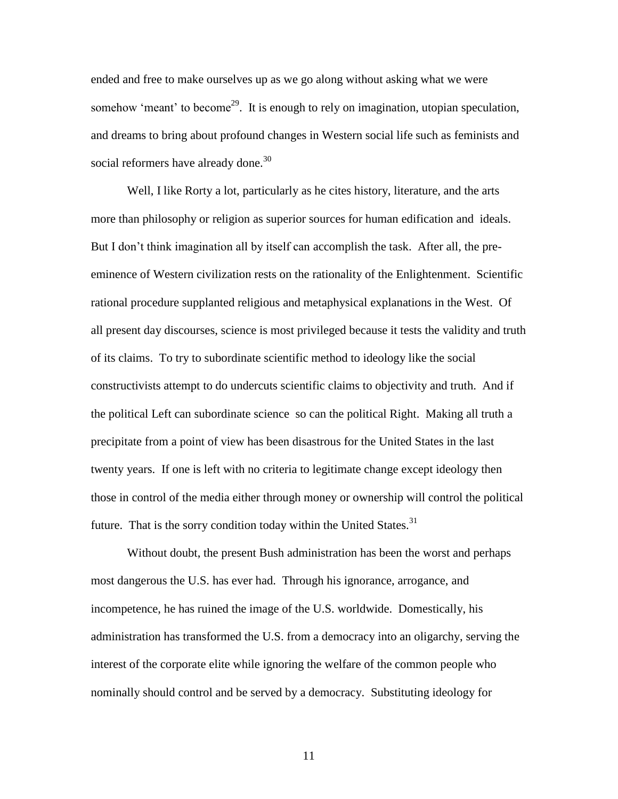ended and free to make ourselves up as we go along without asking what we were somehow 'meant' to become<sup>29</sup>. It is enough to rely on imagination, utopian speculation, and dreams to bring about profound changes in Western social life such as feminists and social reformers have already done.<sup>30</sup>

 Well, I like Rorty a lot, particularly as he cites history, literature, and the arts more than philosophy or religion as superior sources for human edification and ideals. But I don't think imagination all by itself can accomplish the task. After all, the preeminence of Western civilization rests on the rationality of the Enlightenment. Scientific rational procedure supplanted religious and metaphysical explanations in the West. Of all present day discourses, science is most privileged because it tests the validity and truth of its claims. To try to subordinate scientific method to ideology like the social constructivists attempt to do undercuts scientific claims to objectivity and truth. And if the political Left can subordinate science so can the political Right. Making all truth a precipitate from a point of view has been disastrous for the United States in the last twenty years. If one is left with no criteria to legitimate change except ideology then those in control of the media either through money or ownership will control the political future. That is the sorry condition today within the United States. $31$ 

Without doubt, the present Bush administration has been the worst and perhaps most dangerous the U.S. has ever had. Through his ignorance, arrogance, and incompetence, he has ruined the image of the U.S. worldwide. Domestically, his administration has transformed the U.S. from a democracy into an oligarchy, serving the interest of the corporate elite while ignoring the welfare of the common people who nominally should control and be served by a democracy. Substituting ideology for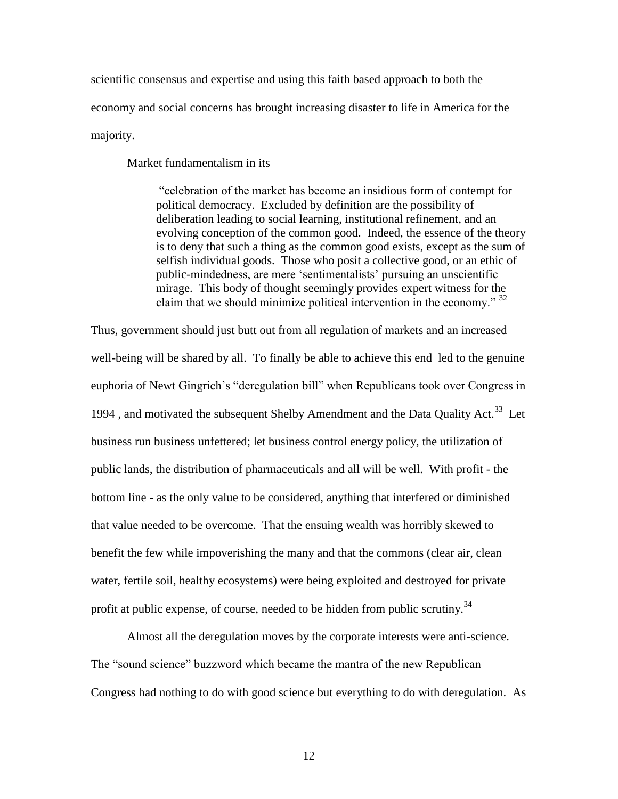scientific consensus and expertise and using this faith based approach to both the economy and social concerns has brought increasing disaster to life in America for the majority.

Market fundamentalism in its

"celebration of the market has become an insidious form of contempt for political democracy. Excluded by definition are the possibility of deliberation leading to social learning, institutional refinement, and an evolving conception of the common good. Indeed, the essence of the theory is to deny that such a thing as the common good exists, except as the sum of selfish individual goods. Those who posit a collective good, or an ethic of public-mindedness, are mere 'sentimentalists' pursuing an unscientific mirage. This body of thought seemingly provides expert witness for the claim that we should minimize political intervention in the economy." 32

Thus, government should just butt out from all regulation of markets and an increased well-being will be shared by all. To finally be able to achieve this end led to the genuine euphoria of Newt Gingrich's "deregulation bill" when Republicans took over Congress in 1994, and motivated the subsequent Shelby Amendment and the Data Quality Act.<sup>33</sup> Let business run business unfettered; let business control energy policy, the utilization of public lands, the distribution of pharmaceuticals and all will be well. With profit - the bottom line - as the only value to be considered, anything that interfered or diminished that value needed to be overcome. That the ensuing wealth was horribly skewed to benefit the few while impoverishing the many and that the commons (clear air, clean water, fertile soil, healthy ecosystems) were being exploited and destroyed for private profit at public expense, of course, needed to be hidden from public scrutiny.<sup>34</sup>

Almost all the deregulation moves by the corporate interests were anti-science. The "sound science" buzzword which became the mantra of the new Republican Congress had nothing to do with good science but everything to do with deregulation. As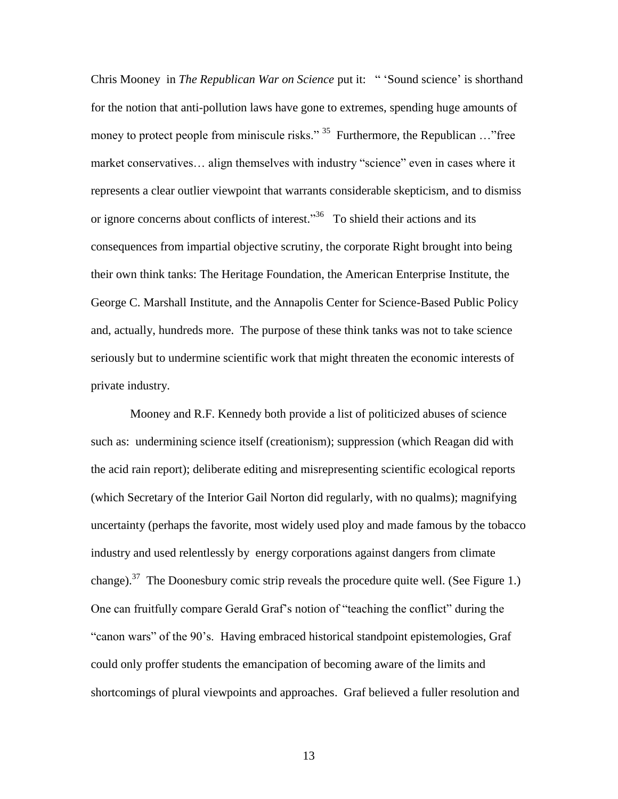Chris Mooney in *The Republican War on Science* put it: " 'Sound science' is shorthand for the notion that anti-pollution laws have gone to extremes, spending huge amounts of money to protect people from miniscule risks." <sup>35</sup> Furthermore, the Republican ..."free market conservatives… align themselves with industry "science" even in cases where it represents a clear outlier viewpoint that warrants considerable skepticism, and to dismiss or ignore concerns about conflicts of interest."<sup>36</sup> To shield their actions and its consequences from impartial objective scrutiny, the corporate Right brought into being their own think tanks: The Heritage Foundation, the American Enterprise Institute, the George C. Marshall Institute, and the Annapolis Center for Science-Based Public Policy and, actually, hundreds more. The purpose of these think tanks was not to take science seriously but to undermine scientific work that might threaten the economic interests of private industry.

Mooney and R.F. Kennedy both provide a list of politicized abuses of science such as: undermining science itself (creationism); suppression (which Reagan did with the acid rain report); deliberate editing and misrepresenting scientific ecological reports (which Secretary of the Interior Gail Norton did regularly, with no qualms); magnifying uncertainty (perhaps the favorite, most widely used ploy and made famous by the tobacco industry and used relentlessly by energy corporations against dangers from climate change).<sup>37</sup> The Doonesbury comic strip reveals the procedure quite well. (See Figure 1.) One can fruitfully compare Gerald Graf's notion of "teaching the conflict" during the "canon wars" of the 90's. Having embraced historical standpoint epistemologies, Graf could only proffer students the emancipation of becoming aware of the limits and shortcomings of plural viewpoints and approaches. Graf believed a fuller resolution and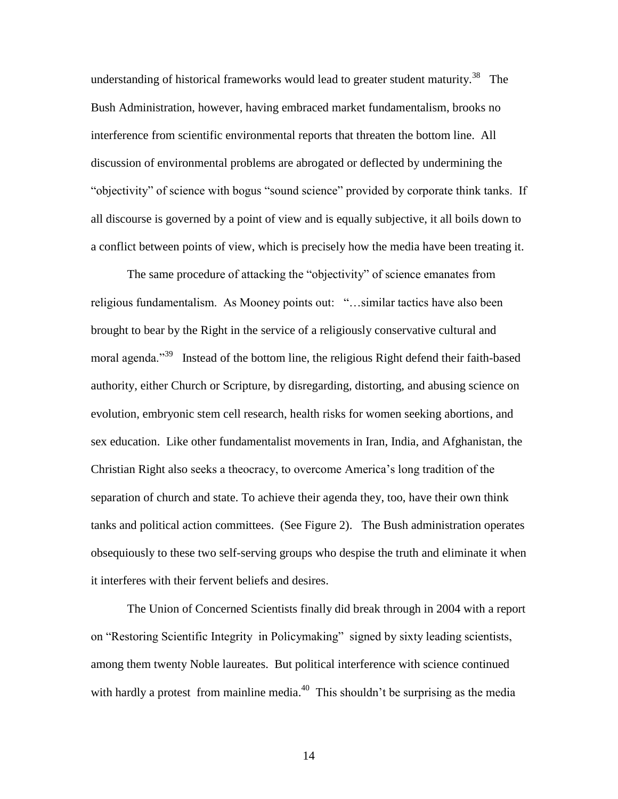understanding of historical frameworks would lead to greater student maturity.<sup>38</sup> The Bush Administration, however, having embraced market fundamentalism, brooks no interference from scientific environmental reports that threaten the bottom line. All discussion of environmental problems are abrogated or deflected by undermining the "objectivity" of science with bogus "sound science" provided by corporate think tanks. If all discourse is governed by a point of view and is equally subjective, it all boils down to a conflict between points of view, which is precisely how the media have been treating it.

The same procedure of attacking the "objectivity" of science emanates from religious fundamentalism. As Mooney points out: "…similar tactics have also been brought to bear by the Right in the service of a religiously conservative cultural and moral agenda."<sup>39</sup> Instead of the bottom line, the religious Right defend their faith-based authority, either Church or Scripture, by disregarding, distorting, and abusing science on evolution, embryonic stem cell research, health risks for women seeking abortions, and sex education. Like other fundamentalist movements in Iran, India, and Afghanistan, the Christian Right also seeks a theocracy, to overcome America's long tradition of the separation of church and state. To achieve their agenda they, too, have their own think tanks and political action committees. (See Figure 2). The Bush administration operates obsequiously to these two self-serving groups who despise the truth and eliminate it when it interferes with their fervent beliefs and desires.

The Union of Concerned Scientists finally did break through in 2004 with a report on "Restoring Scientific Integrity in Policymaking" signed by sixty leading scientists, among them twenty Noble laureates. But political interference with science continued with hardly a protest from mainline media.<sup>40</sup> This shouldn't be surprising as the media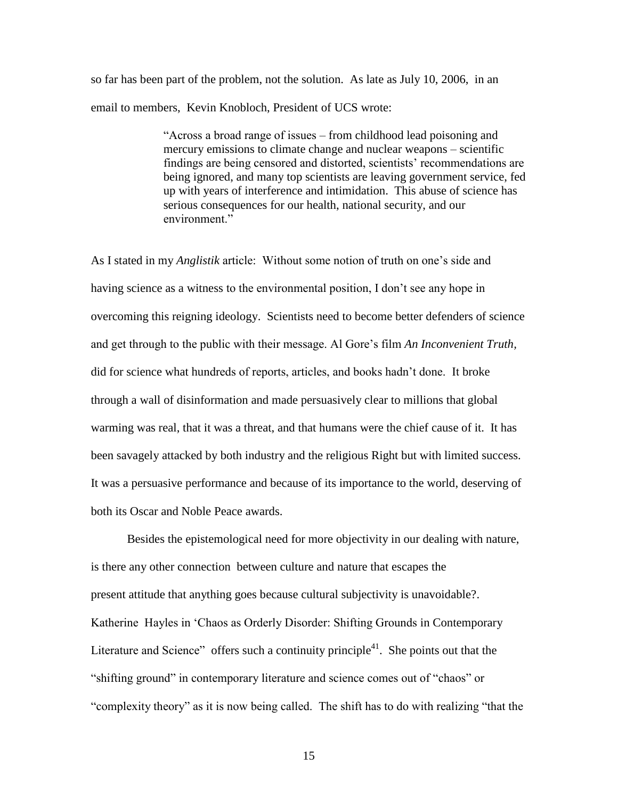so far has been part of the problem, not the solution. As late as July 10, 2006, in an email to members, Kevin Knobloch, President of UCS wrote:

> "Across a broad range of issues – from childhood lead poisoning and mercury emissions to climate change and nuclear weapons – scientific findings are being censored and distorted, scientists' recommendations are being ignored, and many top scientists are leaving government service, fed up with years of interference and intimidation. This abuse of science has serious consequences for our health, national security, and our environment."

As I stated in my *Anglistik* article: Without some notion of truth on one's side and having science as a witness to the environmental position, I don't see any hope in overcoming this reigning ideology. Scientists need to become better defenders of science and get through to the public with their message. Al Gore's film *An Inconvenient Truth,* did for science what hundreds of reports, articles, and books hadn't done. It broke through a wall of disinformation and made persuasively clear to millions that global warming was real, that it was a threat, and that humans were the chief cause of it. It has been savagely attacked by both industry and the religious Right but with limited success. It was a persuasive performance and because of its importance to the world, deserving of both its Oscar and Noble Peace awards.

Besides the epistemological need for more objectivity in our dealing with nature, is there any other connection between culture and nature that escapes the present attitude that anything goes because cultural subjectivity is unavoidable?. Katherine Hayles in 'Chaos as Orderly Disorder: Shifting Grounds in Contemporary Literature and Science" offers such a continuity principle<sup>41</sup>. She points out that the "shifting ground" in contemporary literature and science comes out of "chaos" or "complexity theory" as it is now being called. The shift has to do with realizing "that the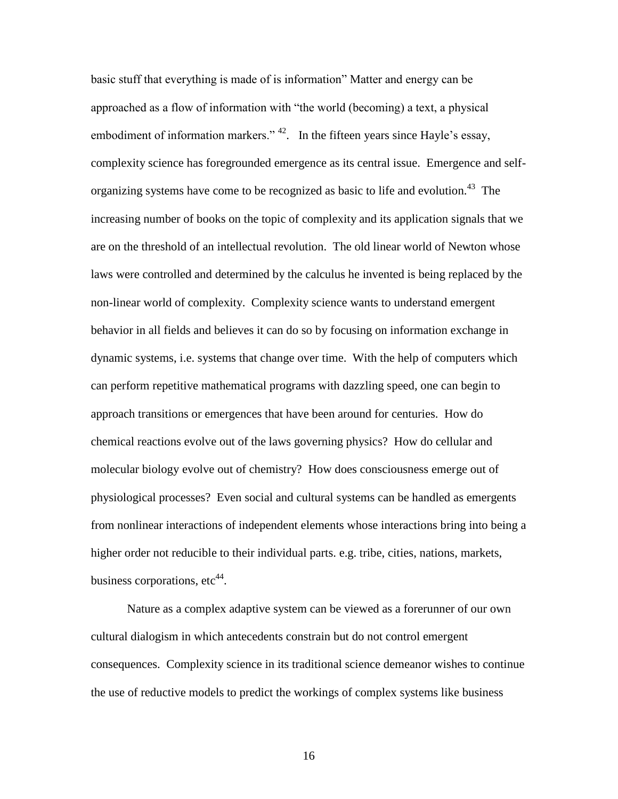basic stuff that everything is made of is information" Matter and energy can be approached as a flow of information with "the world (becoming) a text, a physical embodiment of information markers."  $42$ . In the fifteen years since Hayle's essay, complexity science has foregrounded emergence as its central issue. Emergence and selforganizing systems have come to be recognized as basic to life and evolution.<sup>43</sup> The increasing number of books on the topic of complexity and its application signals that we are on the threshold of an intellectual revolution. The old linear world of Newton whose laws were controlled and determined by the calculus he invented is being replaced by the non-linear world of complexity. Complexity science wants to understand emergent behavior in all fields and believes it can do so by focusing on information exchange in dynamic systems, i.e. systems that change over time. With the help of computers which can perform repetitive mathematical programs with dazzling speed, one can begin to approach transitions or emergences that have been around for centuries. How do chemical reactions evolve out of the laws governing physics? How do cellular and molecular biology evolve out of chemistry? How does consciousness emerge out of physiological processes? Even social and cultural systems can be handled as emergents from nonlinear interactions of independent elements whose interactions bring into being a higher order not reducible to their individual parts. e.g. tribe, cities, nations, markets, business corporations,  $etc<sup>44</sup>$ .

Nature as a complex adaptive system can be viewed as a forerunner of our own cultural dialogism in which antecedents constrain but do not control emergent consequences. Complexity science in its traditional science demeanor wishes to continue the use of reductive models to predict the workings of complex systems like business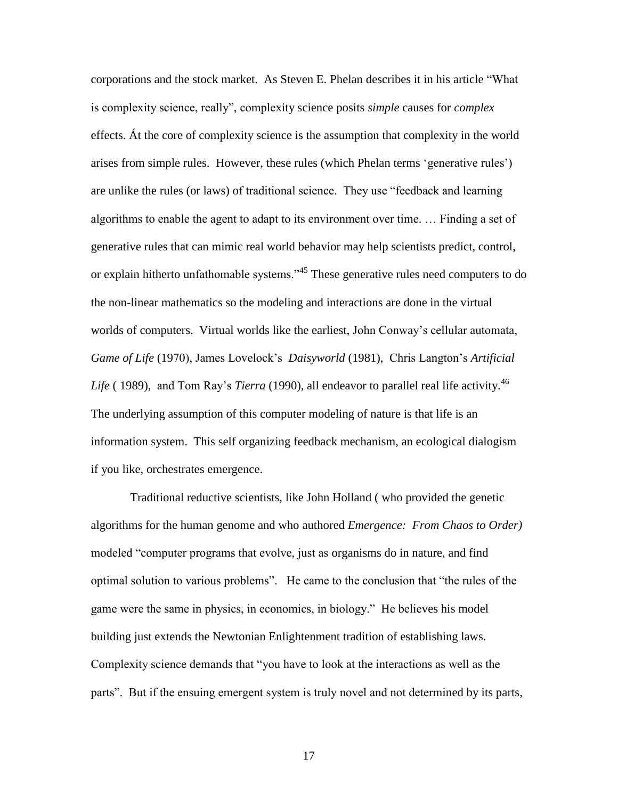corporations and the stock market. As Steven E. Phelan describes it in his article "What is complexity science, really", complexity science posits *simple* causes for *complex*  effects. Át the core of complexity science is the assumption that complexity in the world arises from simple rules. However, these rules (which Phelan terms 'generative rules') are unlike the rules (or laws) of traditional science. They use "feedback and learning algorithms to enable the agent to adapt to its environment over time. … Finding a set of generative rules that can mimic real world behavior may help scientists predict, control, or explain hitherto unfathomable systems."<sup>45</sup> These generative rules need computers to do the non-linear mathematics so the modeling and interactions are done in the virtual worlds of computers. Virtual worlds like the earliest, John Conway's cellular automata, *Game of Life* (1970), James Lovelock's *Daisyworld* (1981), Chris Langton's *Artificial*  Life (1989), and Tom Ray's *Tierra* (1990), all endeavor to parallel real life activity.<sup>46</sup> The underlying assumption of this computer modeling of nature is that life is an information system. This self organizing feedback mechanism, an ecological dialogism if you like, orchestrates emergence.

Traditional reductive scientists, like John Holland ( who provided the genetic algorithms for the human genome and who authored *Emergence: From Chaos to Order)* modeled "computer programs that evolve, just as organisms do in nature, and find optimal solution to various problems". He came to the conclusion that "the rules of the game were the same in physics, in economics, in biology." He believes his model building just extends the Newtonian Enlightenment tradition of establishing laws. Complexity science demands that "you have to look at the interactions as well as the parts". But if the ensuing emergent system is truly novel and not determined by its parts,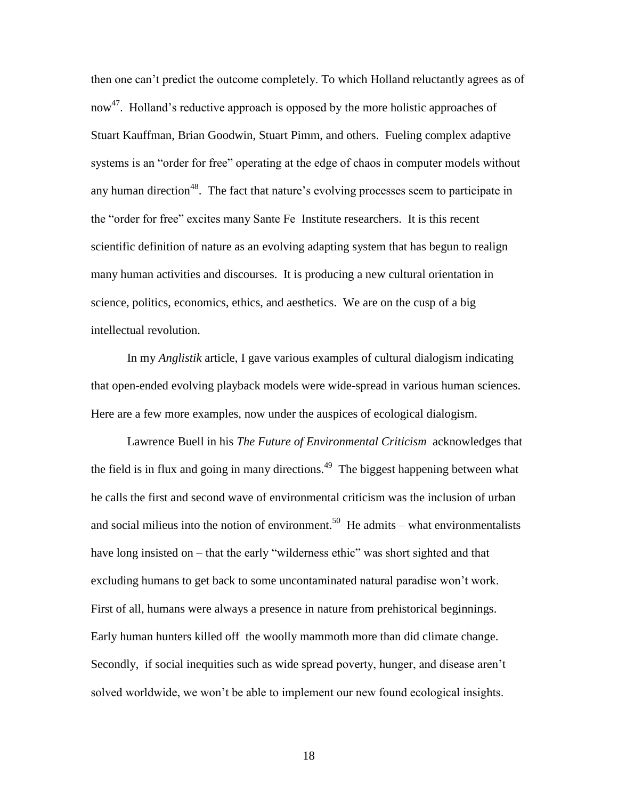then one can't predict the outcome completely. To which Holland reluctantly agrees as of now<sup>47</sup>. Holland's reductive approach is opposed by the more holistic approaches of Stuart Kauffman, Brian Goodwin, Stuart Pimm, and others. Fueling complex adaptive systems is an "order for free" operating at the edge of chaos in computer models without any human direction<sup>48</sup>. The fact that nature's evolving processes seem to participate in the "order for free" excites many Sante Fe Institute researchers. It is this recent scientific definition of nature as an evolving adapting system that has begun to realign many human activities and discourses. It is producing a new cultural orientation in science, politics, economics, ethics, and aesthetics. We are on the cusp of a big intellectual revolution.

In my *Anglistik* article, I gave various examples of cultural dialogism indicating that open-ended evolving playback models were wide-spread in various human sciences. Here are a few more examples, now under the auspices of ecological dialogism.

Lawrence Buell in his *The Future of Environmental Criticism* acknowledges that the field is in flux and going in many directions.<sup>49</sup> The biggest happening between what he calls the first and second wave of environmental criticism was the inclusion of urban and social milieus into the notion of environment.<sup>50</sup> He admits – what environmentalists have long insisted on – that the early "wilderness ethic" was short sighted and that excluding humans to get back to some uncontaminated natural paradise won't work. First of all, humans were always a presence in nature from prehistorical beginnings. Early human hunters killed off the woolly mammoth more than did climate change. Secondly, if social inequities such as wide spread poverty, hunger, and disease aren't solved worldwide, we won't be able to implement our new found ecological insights.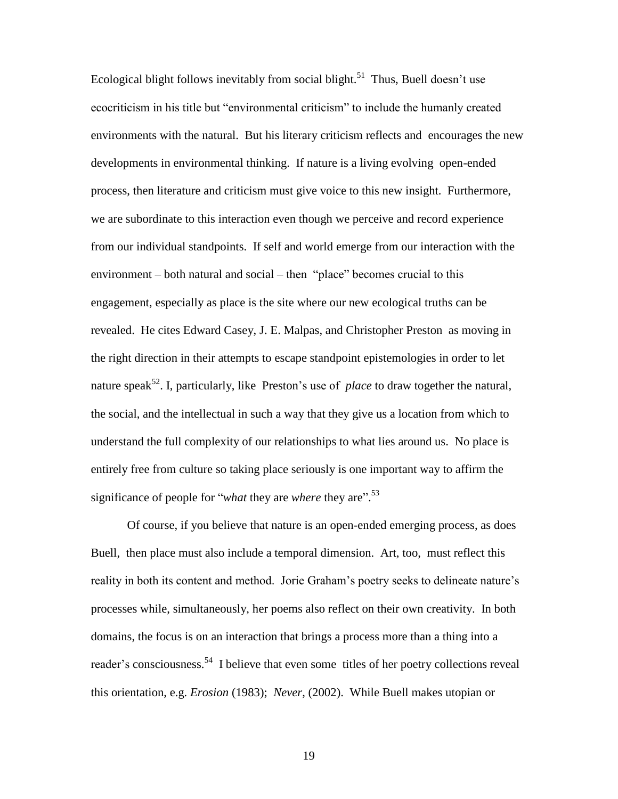Ecological blight follows inevitably from social blight.<sup>51</sup> Thus, Buell doesn't use ecocriticism in his title but "environmental criticism" to include the humanly created environments with the natural. But his literary criticism reflects and encourages the new developments in environmental thinking. If nature is a living evolving open-ended process, then literature and criticism must give voice to this new insight. Furthermore, we are subordinate to this interaction even though we perceive and record experience from our individual standpoints. If self and world emerge from our interaction with the environment – both natural and social – then "place" becomes crucial to this engagement, especially as place is the site where our new ecological truths can be revealed. He cites Edward Casey, J. E. Malpas, and Christopher Preston as moving in the right direction in their attempts to escape standpoint epistemologies in order to let nature speak<sup>52</sup>. I, particularly, like Preston's use of *place* to draw together the natural, the social, and the intellectual in such a way that they give us a location from which to understand the full complexity of our relationships to what lies around us. No place is entirely free from culture so taking place seriously is one important way to affirm the significance of people for "*what* they are *where* they are". 53

Of course, if you believe that nature is an open-ended emerging process, as does Buell, then place must also include a temporal dimension. Art, too, must reflect this reality in both its content and method. Jorie Graham's poetry seeks to delineate nature's processes while, simultaneously, her poems also reflect on their own creativity. In both domains, the focus is on an interaction that brings a process more than a thing into a reader's consciousness.<sup>54</sup> I believe that even some titles of her poetry collections reveal this orientation, e.g. *Erosion* (1983); *Never*, (2002). While Buell makes utopian or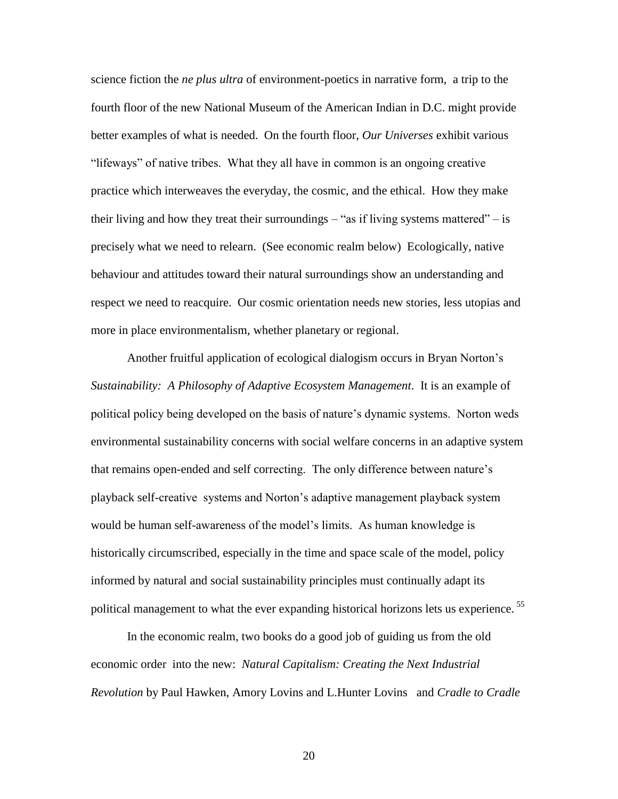science fiction the *ne plus ultra* of environment-poetics in narrative form, a trip to the fourth floor of the new National Museum of the American Indian in D.C. might provide better examples of what is needed. On the fourth floor, *Our Universes* exhibit various "lifeways" of native tribes. What they all have in common is an ongoing creative practice which interweaves the everyday, the cosmic, and the ethical. How they make their living and how they treat their surroundings  $-$  "as if living systems mattered"  $-$  is precisely what we need to relearn. (See economic realm below) Ecologically, native behaviour and attitudes toward their natural surroundings show an understanding and respect we need to reacquire. Our cosmic orientation needs new stories, less utopias and more in place environmentalism, whether planetary or regional.

Another fruitful application of ecological dialogism occurs in Bryan Norton's *Sustainability: A Philosophy of Adaptive Ecosystem Management*. It is an example of political policy being developed on the basis of nature's dynamic systems. Norton weds environmental sustainability concerns with social welfare concerns in an adaptive system that remains open-ended and self correcting. The only difference between nature's playback self-creative systems and Norton's adaptive management playback system would be human self-awareness of the model's limits. As human knowledge is historically circumscribed, especially in the time and space scale of the model, policy informed by natural and social sustainability principles must continually adapt its political management to what the ever expanding historical horizons lets us experience.<sup>55</sup>

In the economic realm, two books do a good job of guiding us from the old economic order into the new: *Natural Capitalism: Creating the Next Industrial Revolution* by Paul Hawken, Amory Lovins and L.Hunter Lovins and *Cradle to Cradle*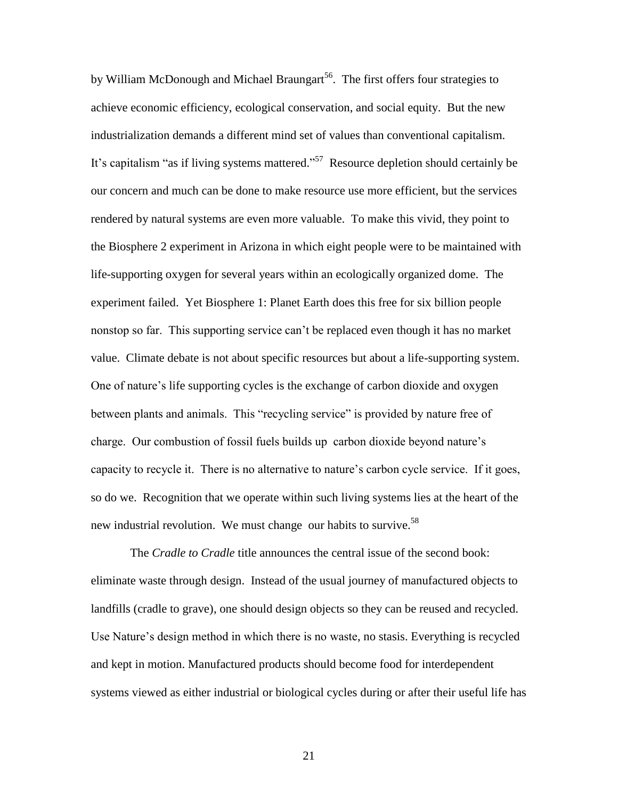by William McDonough and Michael Braungart<sup>56</sup>. The first offers four strategies to achieve economic efficiency, ecological conservation, and social equity. But the new industrialization demands a different mind set of values than conventional capitalism. It's capitalism "as if living systems mattered."<sup>57</sup> Resource depletion should certainly be our concern and much can be done to make resource use more efficient, but the services rendered by natural systems are even more valuable. To make this vivid, they point to the Biosphere 2 experiment in Arizona in which eight people were to be maintained with life-supporting oxygen for several years within an ecologically organized dome. The experiment failed. Yet Biosphere 1: Planet Earth does this free for six billion people nonstop so far. This supporting service can't be replaced even though it has no market value. Climate debate is not about specific resources but about a life-supporting system. One of nature's life supporting cycles is the exchange of carbon dioxide and oxygen between plants and animals. This "recycling service" is provided by nature free of charge. Our combustion of fossil fuels builds up carbon dioxide beyond nature's capacity to recycle it. There is no alternative to nature's carbon cycle service. If it goes, so do we. Recognition that we operate within such living systems lies at the heart of the new industrial revolution. We must change our habits to survive.<sup>58</sup>

The *Cradle to Cradle* title announces the central issue of the second book: eliminate waste through design. Instead of the usual journey of manufactured objects to landfills (cradle to grave), one should design objects so they can be reused and recycled. Use Nature's design method in which there is no waste, no stasis. Everything is recycled and kept in motion. Manufactured products should become food for interdependent systems viewed as either industrial or biological cycles during or after their useful life has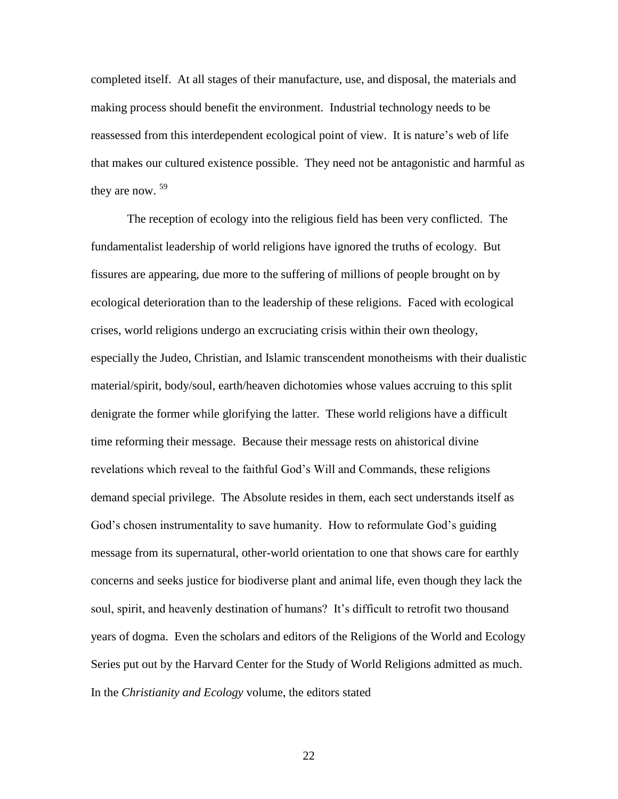completed itself. At all stages of their manufacture, use, and disposal, the materials and making process should benefit the environment. Industrial technology needs to be reassessed from this interdependent ecological point of view. It is nature's web of life that makes our cultured existence possible. They need not be antagonistic and harmful as they are now.  $59$ 

The reception of ecology into the religious field has been very conflicted. The fundamentalist leadership of world religions have ignored the truths of ecology. But fissures are appearing, due more to the suffering of millions of people brought on by ecological deterioration than to the leadership of these religions. Faced with ecological crises, world religions undergo an excruciating crisis within their own theology, especially the Judeo, Christian, and Islamic transcendent monotheisms with their dualistic material/spirit, body/soul, earth/heaven dichotomies whose values accruing to this split denigrate the former while glorifying the latter. These world religions have a difficult time reforming their message. Because their message rests on ahistorical divine revelations which reveal to the faithful God's Will and Commands, these religions demand special privilege. The Absolute resides in them, each sect understands itself as God's chosen instrumentality to save humanity. How to reformulate God's guiding message from its supernatural, other-world orientation to one that shows care for earthly concerns and seeks justice for biodiverse plant and animal life, even though they lack the soul, spirit, and heavenly destination of humans? It's difficult to retrofit two thousand years of dogma. Even the scholars and editors of the Religions of the World and Ecology Series put out by the Harvard Center for the Study of World Religions admitted as much. In the *Christianity and Ecology* volume, the editors stated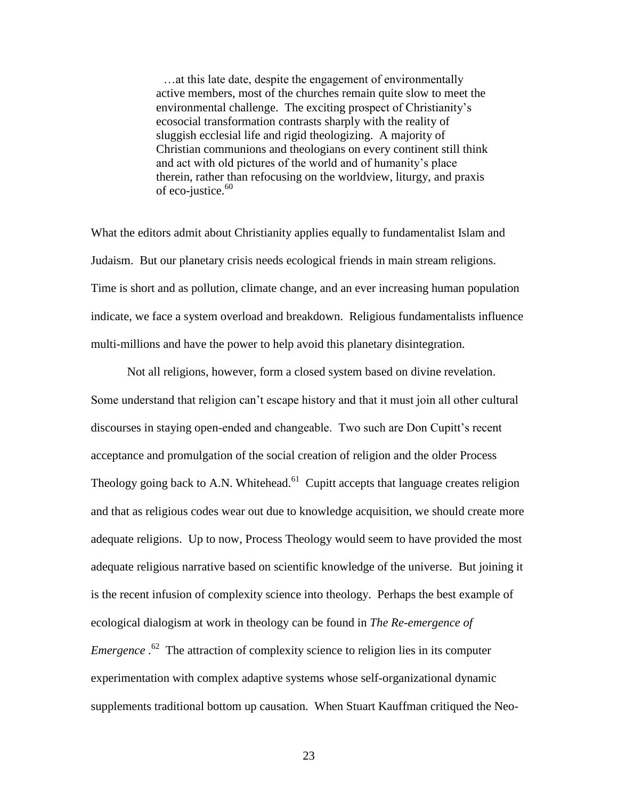…at this late date, despite the engagement of environmentally active members, most of the churches remain quite slow to meet the environmental challenge. The exciting prospect of Christianity's ecosocial transformation contrasts sharply with the reality of sluggish ecclesial life and rigid theologizing. A majority of Christian communions and theologians on every continent still think and act with old pictures of the world and of humanity's place therein, rather than refocusing on the worldview, liturgy, and praxis of eco-justice.<sup>60</sup>

What the editors admit about Christianity applies equally to fundamentalist Islam and Judaism. But our planetary crisis needs ecological friends in main stream religions. Time is short and as pollution, climate change, and an ever increasing human population indicate, we face a system overload and breakdown. Religious fundamentalists influence multi-millions and have the power to help avoid this planetary disintegration.

Not all religions, however, form a closed system based on divine revelation. Some understand that religion can't escape history and that it must join all other cultural discourses in staying open-ended and changeable. Two such are Don Cupitt's recent acceptance and promulgation of the social creation of religion and the older Process Theology going back to A.N. Whitehead. $61$  Cupitt accepts that language creates religion and that as religious codes wear out due to knowledge acquisition, we should create more adequate religions. Up to now, Process Theology would seem to have provided the most adequate religious narrative based on scientific knowledge of the universe. But joining it is the recent infusion of complexity science into theology. Perhaps the best example of ecological dialogism at work in theology can be found in *The Re-emergence of Emergence* .<sup>62</sup> The attraction of complexity science to religion lies in its computer experimentation with complex adaptive systems whose self-organizational dynamic supplements traditional bottom up causation. When Stuart Kauffman critiqued the Neo-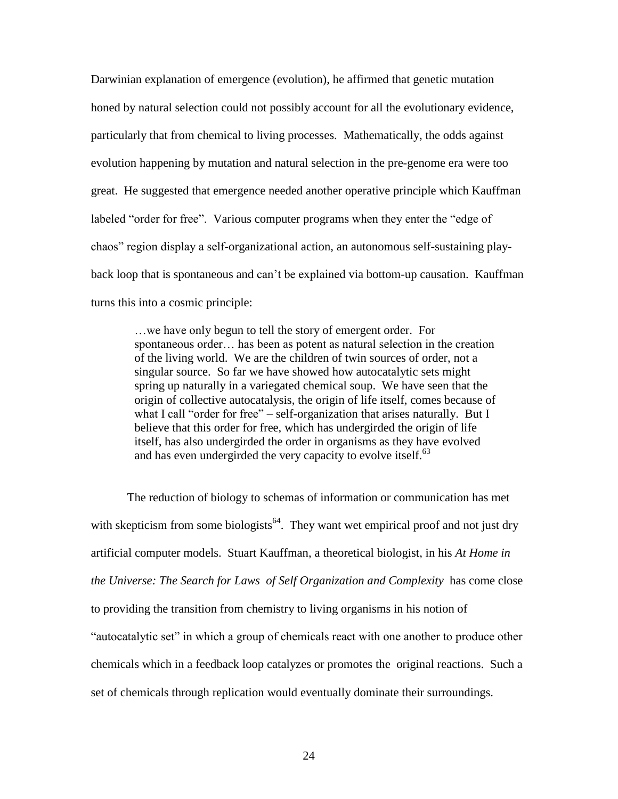Darwinian explanation of emergence (evolution), he affirmed that genetic mutation honed by natural selection could not possibly account for all the evolutionary evidence, particularly that from chemical to living processes. Mathematically, the odds against evolution happening by mutation and natural selection in the pre-genome era were too great. He suggested that emergence needed another operative principle which Kauffman labeled "order for free". Various computer programs when they enter the "edge of chaos" region display a self-organizational action, an autonomous self-sustaining playback loop that is spontaneous and can't be explained via bottom-up causation. Kauffman turns this into a cosmic principle:

…we have only begun to tell the story of emergent order. For spontaneous order… has been as potent as natural selection in the creation of the living world. We are the children of twin sources of order, not a singular source. So far we have showed how autocatalytic sets might spring up naturally in a variegated chemical soup. We have seen that the origin of collective autocatalysis, the origin of life itself, comes because of what I call "order for free" – self-organization that arises naturally. But I believe that this order for free, which has undergirded the origin of life itself, has also undergirded the order in organisms as they have evolved and has even undergirded the very capacity to evolve itself. $^{63}$ 

The reduction of biology to schemas of information or communication has met with skepticism from some biologists<sup>64</sup>. They want wet empirical proof and not just dry artificial computer models. Stuart Kauffman, a theoretical biologist, in his *At Home in the Universe: The Search for Laws of Self Organization and Complexity* has come close to providing the transition from chemistry to living organisms in his notion of "autocatalytic set" in which a group of chemicals react with one another to produce other chemicals which in a feedback loop catalyzes or promotes the original reactions. Such a set of chemicals through replication would eventually dominate their surroundings.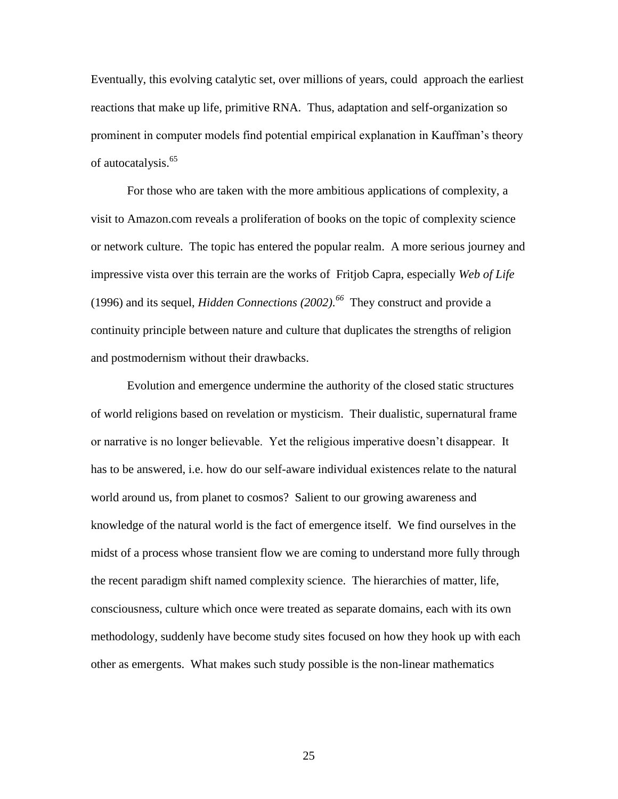Eventually, this evolving catalytic set, over millions of years, could approach the earliest reactions that make up life, primitive RNA. Thus, adaptation and self-organization so prominent in computer models find potential empirical explanation in Kauffman's theory of autocatalysis.<sup>65</sup>

For those who are taken with the more ambitious applications of complexity, a visit to Amazon.com reveals a proliferation of books on the topic of complexity science or network culture. The topic has entered the popular realm. A more serious journey and impressive vista over this terrain are the works of Fritjob Capra, especially *Web of Life* (1996) and its sequel, *Hidden Connections*  $(2002)$ .<sup>66</sup> They construct and provide a continuity principle between nature and culture that duplicates the strengths of religion and postmodernism without their drawbacks.

Evolution and emergence undermine the authority of the closed static structures of world religions based on revelation or mysticism. Their dualistic, supernatural frame or narrative is no longer believable. Yet the religious imperative doesn't disappear. It has to be answered, i.e. how do our self-aware individual existences relate to the natural world around us, from planet to cosmos? Salient to our growing awareness and knowledge of the natural world is the fact of emergence itself. We find ourselves in the midst of a process whose transient flow we are coming to understand more fully through the recent paradigm shift named complexity science. The hierarchies of matter, life, consciousness, culture which once were treated as separate domains, each with its own methodology, suddenly have become study sites focused on how they hook up with each other as emergents. What makes such study possible is the non-linear mathematics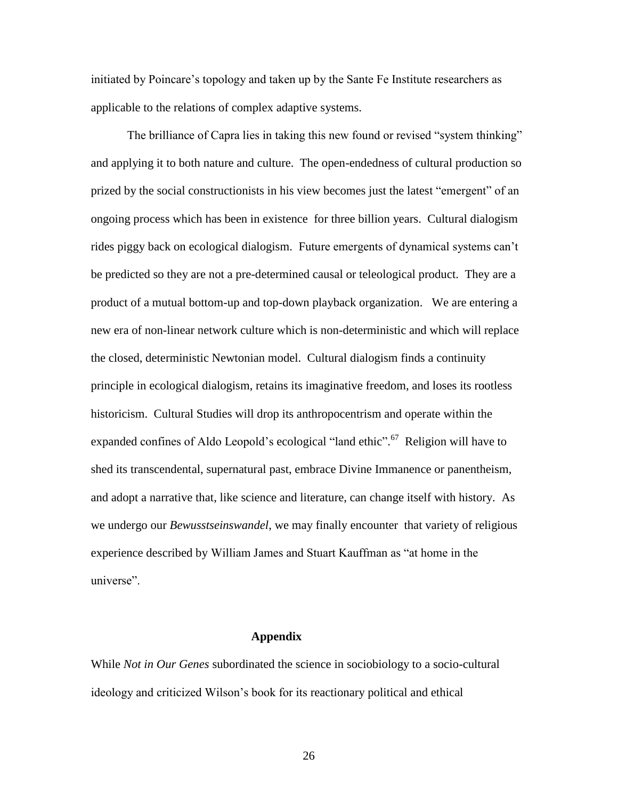initiated by Poincare's topology and taken up by the Sante Fe Institute researchers as applicable to the relations of complex adaptive systems.

The brilliance of Capra lies in taking this new found or revised "system thinking" and applying it to both nature and culture. The open-endedness of cultural production so prized by the social constructionists in his view becomes just the latest "emergent" of an ongoing process which has been in existence for three billion years. Cultural dialogism rides piggy back on ecological dialogism. Future emergents of dynamical systems can't be predicted so they are not a pre-determined causal or teleological product. They are a product of a mutual bottom-up and top-down playback organization. We are entering a new era of non-linear network culture which is non-deterministic and which will replace the closed, deterministic Newtonian model. Cultural dialogism finds a continuity principle in ecological dialogism, retains its imaginative freedom, and loses its rootless historicism. Cultural Studies will drop its anthropocentrism and operate within the expanded confines of Aldo Leopold's ecological "land ethic".<sup>67</sup> Religion will have to shed its transcendental, supernatural past, embrace Divine Immanence or panentheism, and adopt a narrative that, like science and literature, can change itself with history. As we undergo our *Bewusstseinswandel*, we may finally encounter that variety of religious experience described by William James and Stuart Kauffman as "at home in the universe".

## **Appendix**

While *Not in Our Genes* subordinated the science in sociobiology to a socio-cultural ideology and criticized Wilson's book for its reactionary political and ethical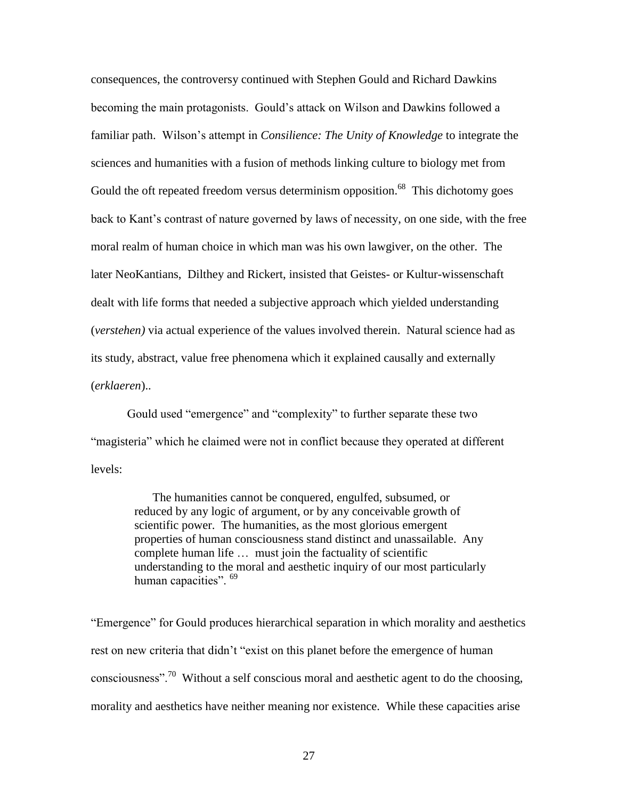consequences, the controversy continued with Stephen Gould and Richard Dawkins becoming the main protagonists. Gould's attack on Wilson and Dawkins followed a familiar path. Wilson's attempt in *Consilience: The Unity of Knowledge* to integrate the sciences and humanities with a fusion of methods linking culture to biology met from Gould the oft repeated freedom versus determinism opposition.<sup>68</sup> This dichotomy goes back to Kant's contrast of nature governed by laws of necessity, on one side, with the free moral realm of human choice in which man was his own lawgiver, on the other. The later NeoKantians, Dilthey and Rickert, insisted that Geistes- or Kultur-wissenschaft dealt with life forms that needed a subjective approach which yielded understanding (*verstehen)* via actual experience of the values involved therein. Natural science had as its study, abstract, value free phenomena which it explained causally and externally (*erklaeren*)..

Gould used "emergence" and "complexity" to further separate these two "magisteria" which he claimed were not in conflict because they operated at different levels:

> The humanities cannot be conquered, engulfed, subsumed, or reduced by any logic of argument, or by any conceivable growth of scientific power. The humanities, as the most glorious emergent properties of human consciousness stand distinct and unassailable. Any complete human life … must join the factuality of scientific understanding to the moral and aesthetic inquiry of our most particularly human capacities". <sup>69</sup>

"Emergence" for Gould produces hierarchical separation in which morality and aesthetics rest on new criteria that didn't "exist on this planet before the emergence of human consciousness".<sup>70</sup> Without a self conscious moral and aesthetic agent to do the choosing, morality and aesthetics have neither meaning nor existence. While these capacities arise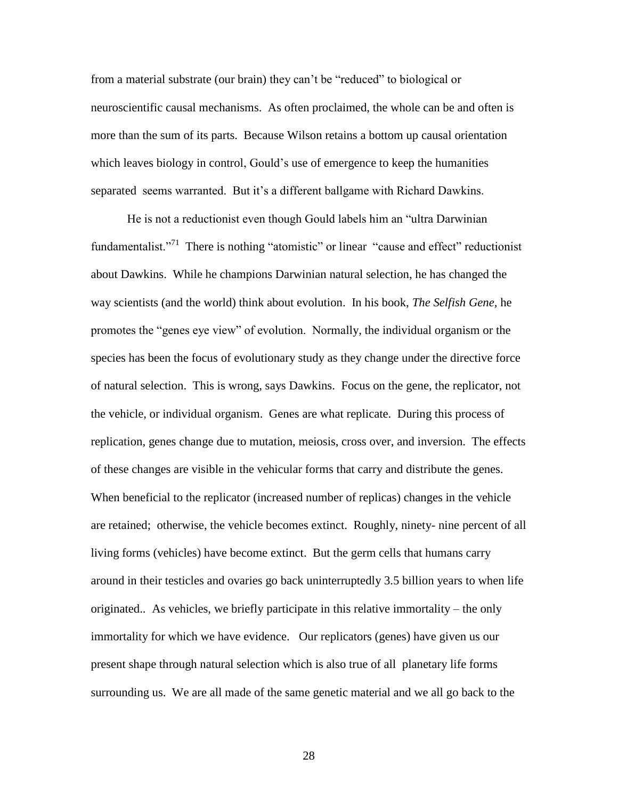from a material substrate (our brain) they can't be "reduced" to biological or neuroscientific causal mechanisms. As often proclaimed, the whole can be and often is more than the sum of its parts. Because Wilson retains a bottom up causal orientation which leaves biology in control, Gould's use of emergence to keep the humanities separated seems warranted. But it's a different ballgame with Richard Dawkins.

He is not a reductionist even though Gould labels him an "ultra Darwinian fundamentalist."<sup>71</sup> There is nothing "atomistic" or linear "cause and effect" reductionist about Dawkins. While he champions Darwinian natural selection, he has changed the way scientists (and the world) think about evolution. In his book, *The Selfish Gene,* he promotes the "genes eye view" of evolution. Normally, the individual organism or the species has been the focus of evolutionary study as they change under the directive force of natural selection. This is wrong, says Dawkins. Focus on the gene, the replicator, not the vehicle, or individual organism. Genes are what replicate. During this process of replication, genes change due to mutation, meiosis, cross over, and inversion. The effects of these changes are visible in the vehicular forms that carry and distribute the genes. When beneficial to the replicator (increased number of replicas) changes in the vehicle are retained; otherwise, the vehicle becomes extinct. Roughly, ninety- nine percent of all living forms (vehicles) have become extinct. But the germ cells that humans carry around in their testicles and ovaries go back uninterruptedly 3.5 billion years to when life originated.. As vehicles, we briefly participate in this relative immortality – the only immortality for which we have evidence. Our replicators (genes) have given us our present shape through natural selection which is also true of all planetary life forms surrounding us. We are all made of the same genetic material and we all go back to the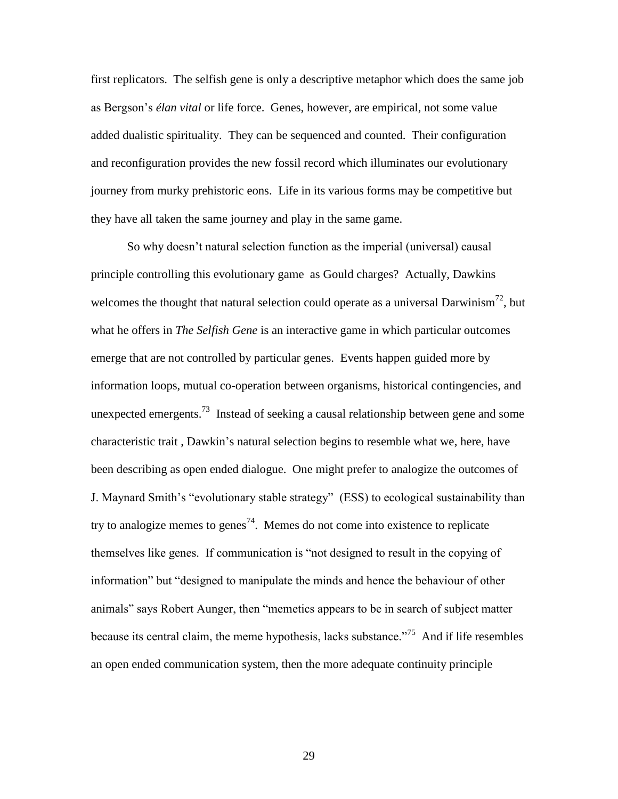first replicators. The selfish gene is only a descriptive metaphor which does the same job as Bergson's *élan vital* or life force. Genes, however, are empirical, not some value added dualistic spirituality. They can be sequenced and counted. Their configuration and reconfiguration provides the new fossil record which illuminates our evolutionary journey from murky prehistoric eons. Life in its various forms may be competitive but they have all taken the same journey and play in the same game.

So why doesn't natural selection function as the imperial (universal) causal principle controlling this evolutionary game as Gould charges? Actually, Dawkins welcomes the thought that natural selection could operate as a universal Darwinism<sup>72</sup>, but what he offers in *The Selfish Gene* is an interactive game in which particular outcomes emerge that are not controlled by particular genes. Events happen guided more by information loops, mutual co-operation between organisms, historical contingencies, and unexpected emergents.<sup>73</sup> Instead of seeking a causal relationship between gene and some characteristic trait , Dawkin's natural selection begins to resemble what we, here, have been describing as open ended dialogue. One might prefer to analogize the outcomes of J. Maynard Smith's "evolutionary stable strategy" (ESS) to ecological sustainability than try to analogize memes to genes<sup>74</sup>. Memes do not come into existence to replicate themselves like genes. If communication is "not designed to result in the copying of information" but "designed to manipulate the minds and hence the behaviour of other animals" says Robert Aunger, then "memetics appears to be in search of subject matter because its central claim, the meme hypothesis, lacks substance."<sup>75</sup> And if life resembles an open ended communication system, then the more adequate continuity principle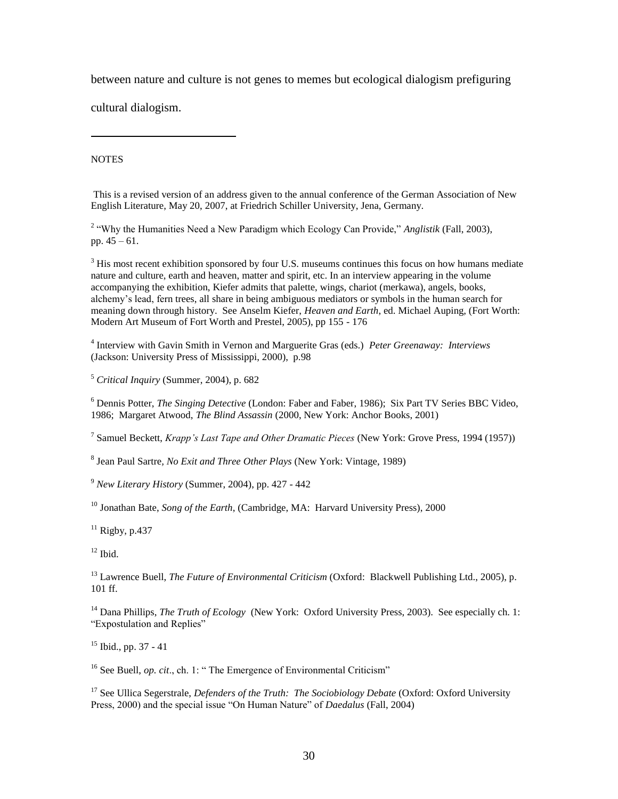between nature and culture is not genes to memes but ecological dialogism prefiguring

cultural dialogism.

**NOTES** 

 $\overline{a}$ 

This is a revised version of an address given to the annual conference of the German Association of New English Literature, May 20, 2007, at Friedrich Schiller University, Jena, Germany.

<sup>2</sup> "Why the Humanities Need a New Paradigm which Ecology Can Provide," *Anglistik* (Fall, 2003), pp. 45 – 61.

 $3$  His most recent exhibition sponsored by four U.S. museums continues this focus on how humans mediate nature and culture, earth and heaven, matter and spirit, etc. In an interview appearing in the volume accompanying the exhibition, Kiefer admits that palette, wings, chariot (merkawa), angels, books, alchemy's lead, fern trees, all share in being ambiguous mediators or symbols in the human search for meaning down through history. See Anselm Kiefer, *Heaven and Earth*, ed. Michael Auping, (Fort Worth: Modern Art Museum of Fort Worth and Prestel, 2005), pp 155 - 176

4 Interview with Gavin Smith in Vernon and Marguerite Gras (eds.) *Peter Greenaway: Interviews* (Jackson: University Press of Mississippi, 2000), p.98

<sup>5</sup> *Critical Inquiry* (Summer, 2004), p. 682

<sup>6</sup> Dennis Potter, *The Singing Detective* (London: Faber and Faber, 1986); Six Part TV Series BBC Video, 1986; Margaret Atwood, *The Blind Assassin* (2000, New York: Anchor Books, 2001)

7 Samuel Beckett, *Krapp's Last Tape and Other Dramatic Pieces* (New York: Grove Press, 1994 (1957))

8 Jean Paul Sartre*, No Exit and Three Other Plays* (New York: Vintage, 1989)

<sup>9</sup> *New Literary History* (Summer, 2004), pp. 427 - 442

<sup>10</sup> Jonathan Bate, *Song of the Earth*, (Cambridge, MA: Harvard University Press), 2000

 $11$  Rigby, p.437

 $12$  Ibid.

<sup>13</sup> Lawrence Buell, *The Future of Environmental Criticism* (Oxford: Blackwell Publishing Ltd., 2005), p. 101 ff.

<sup>14</sup> Dana Phillips, *The Truth of Ecology* (New York: Oxford University Press, 2003). See especially ch. 1: "Expostulation and Replies"

 $15$  Ibid., pp. 37 - 41

<sup>16</sup> See Buell, *op. cit.*, ch. 1: " The Emergence of Environmental Criticism"

<sup>17</sup> See Ullica Segerstrale, *Defenders of the Truth: The Sociobiology Debate* (Oxford: Oxford University Press, 2000) and the special issue "On Human Nature" of *Daedalus* (Fall, 2004)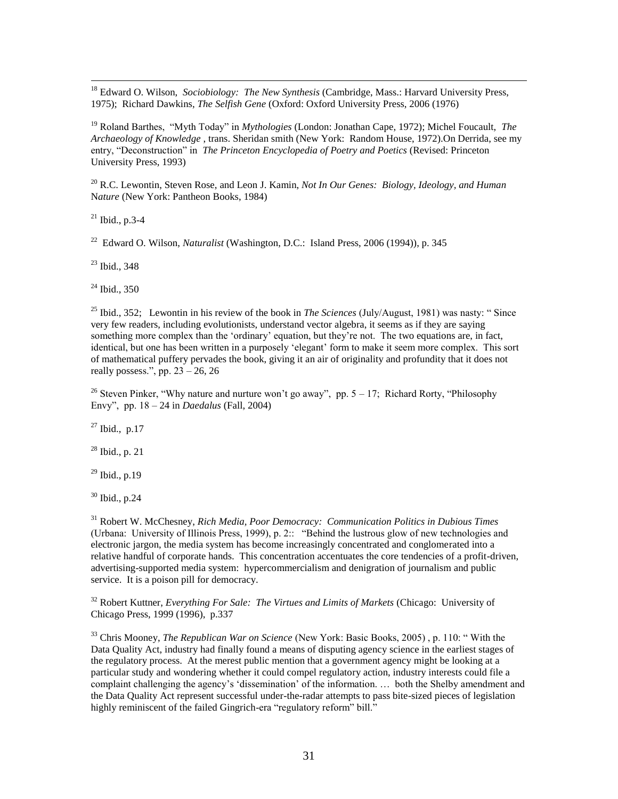<sup>18</sup> Edward O. Wilson, *Sociobiology: The New Synthesis* (Cambridge, Mass.: Harvard University Press, 1975); Richard Dawkins, *The Selfish Gene* (Oxford: Oxford University Press, 2006 (1976)

<sup>19</sup> Roland Barthes, "Myth Today" in *Mythologies* (London: Jonathan Cape, 1972); Michel Foucault, *The Archaeology of Knowledge* , trans. Sheridan smith (New York: Random House, 1972).On Derrida, see my entry, "Deconstruction" in *The Princeton Encyclopedia of Poetry and Poetics* (Revised: Princeton University Press, 1993)

<sup>20</sup> R.C. Lewontin, Steven Rose, and Leon J. Kamin, *Not In Our Genes: Biology, Ideology, and Human* N*ature* (New York: Pantheon Books, 1984)

 $^{21}$  Ibid., p.3-4

 $\overline{a}$ 

22 Edward O. Wilson, *Naturalist* (Washington, D.C.: Island Press, 2006 (1994)), p. 345

 $23$  Ibid., 348

<sup>24</sup> Ibid., 350

<sup>25</sup> Ibid., 352; Lewontin in his review of the book in *The Sciences* (July/August, 1981) was nasty: " Since very few readers, including evolutionists, understand vector algebra, it seems as if they are saying something more complex than the 'ordinary' equation, but they're not. The two equations are, in fact, identical, but one has been written in a purposely 'elegant' form to make it seem more complex. This sort of mathematical puffery pervades the book, giving it an air of originality and profundity that it does not really possess.", pp.  $23 - 26$ , 26

<sup>26</sup> Steven Pinker, "Why nature and nurture won't go away", pp.  $5 - 17$ ; Richard Rorty, "Philosophy Envy", pp. 18 – 24 in *Daedalus* (Fall, 2004)

 $27$  Ibid., p.17

 $28$  Ibid., p. 21

 $^{29}$  Ibid., p.19

<sup>30</sup> Ibid., p.24

<sup>31</sup> Robert W. McChesney, *Rich Media, Poor Democracy: Communication Politics in Dubious Times* (Urbana: University of Illinois Press, 1999), p. 2:: "Behind the lustrous glow of new technologies and electronic jargon, the media system has become increasingly concentrated and conglomerated into a relative handful of corporate hands. This concentration accentuates the core tendencies of a profit-driven, advertising-supported media system: hypercommercialism and denigration of journalism and public service. It is a poison pill for democracy.

<sup>32</sup> Robert Kuttner, *Everything For Sale: The Virtues and Limits of Markets* (Chicago: University of Chicago Press, 1999 (1996), p.337

<sup>33</sup> Chris Mooney, *The Republican War on Science* (New York: Basic Books, 2005) , p. 110: " With the Data Quality Act, industry had finally found a means of disputing agency science in the earliest stages of the regulatory process. At the merest public mention that a government agency might be looking at a particular study and wondering whether it could compel regulatory action, industry interests could file a complaint challenging the agency's 'dissemination' of the information. … both the Shelby amendment and the Data Quality Act represent successful under-the-radar attempts to pass bite-sized pieces of legislation highly reminiscent of the failed Gingrich-era "regulatory reform" bill. $\dot{N}$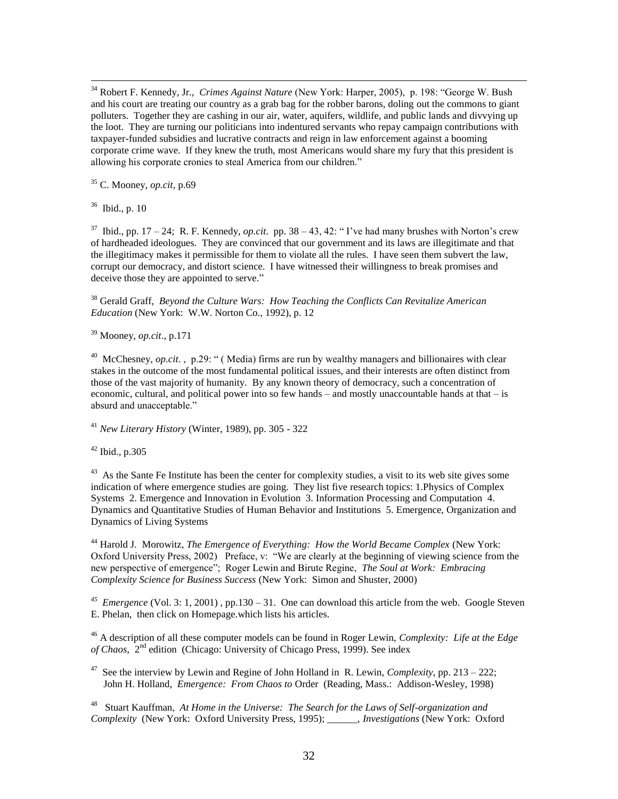<sup>34</sup> Robert F. Kennedy, Jr., *Crimes Against Nature* (New York: Harper, 2005), p. 198: "George W. Bush and his court are treating our country as a grab bag for the robber barons, doling out the commons to giant polluters. Together they are cashing in our air, water, aquifers, wildlife, and public lands and divvying up the loot. They are turning our politicians into indentured servants who repay campaign contributions with taxpayer-funded subsidies and lucrative contracts and reign in law enforcement against a booming corporate crime wave. If they knew the truth, most Americans would share my fury that this president is allowing his corporate cronies to steal America from our children."

<sup>35</sup> C. Mooney*, op.cit,* p.69

36 Ibid., p. 10

 $\overline{a}$ 

<sup>37</sup> Ibid., pp. 17 – 24; R. F. Kennedy, *op.cit*. pp. 38 – 43, 42: "I've had many brushes with Norton's crew of hardheaded ideologues. They are convinced that our government and its laws are illegitimate and that the illegitimacy makes it permissible for them to violate all the rules. I have seen them subvert the law, corrupt our democracy, and distort science. I have witnessed their willingness to break promises and deceive those they are appointed to serve."

<sup>38</sup> Gerald Graff, *Beyond the Culture Wars: How Teaching the Conflicts Can Revitalize American Education* (New York: W.W. Norton Co., 1992), p. 12

<sup>39</sup> Mooney*, op.cit*., p.171

<sup>40</sup> McChesney, *op.cit.*, p.29: " (Media) firms are run by wealthy managers and billionaires with clear stakes in the outcome of the most fundamental political issues, and their interests are often distinct from those of the vast majority of humanity. By any known theory of democracy, such a concentration of economic, cultural, and political power into so few hands – and mostly unaccountable hands at that – is absurd and unacceptable."

<sup>41</sup> *New Literary History* (Winter, 1989), pp. 305 - 322

 $42$  Ibid., p.305

<sup>43</sup> As the Sante Fe Institute has been the center for complexity studies, a visit to its web site gives some indication of where emergence studies are going. They list five research topics: 1.Physics of Complex Systems 2. Emergence and Innovation in Evolution 3. Information Processing and Computation 4. Dynamics and Quantitative Studies of Human Behavior and Institutions 5. Emergence, Organization and Dynamics of Living Systems

<sup>44</sup> Harold J. Morowitz, *The Emergence of Everything: How the World Became Complex* (New York: Oxford University Press, 2002) Preface, v: "We are clearly at the beginning of viewing science from the new perspective of emergence"; Roger Lewin and Birute Regine, *The Soul at Work: Embracing Complexity Science for Business Success* (New York: Simon and Shuster, 2000)

<sup>45</sup> *Emergence* (Vol. 3: 1, 2001), pp.130 – 31. One can download this article from the web. Google Steven E. Phelan, then click on Homepage.which lists his articles.

<sup>46</sup> A description of all these computer models can be found in Roger Lewin, *Complexity: Life at the Edge* of Chaos, 2<sup>nd</sup> edition (Chicago: University of Chicago Press, 1999). See index

47 See the interview by Lewin and Regine of John Holland in R. Lewin, *Complexity,* pp. 213 – 222; John H. Holland, *Emergence: From Chaos to* Order (Reading, Mass.: Addison-Wesley, 1998)

48 Stuart Kauffman*, At Home in the Universe: The Search for the Laws of Self-organization and Complexity* (New York: Oxford University Press, 1995); \_\_\_\_\_\_, *Investigations* (New York: Oxford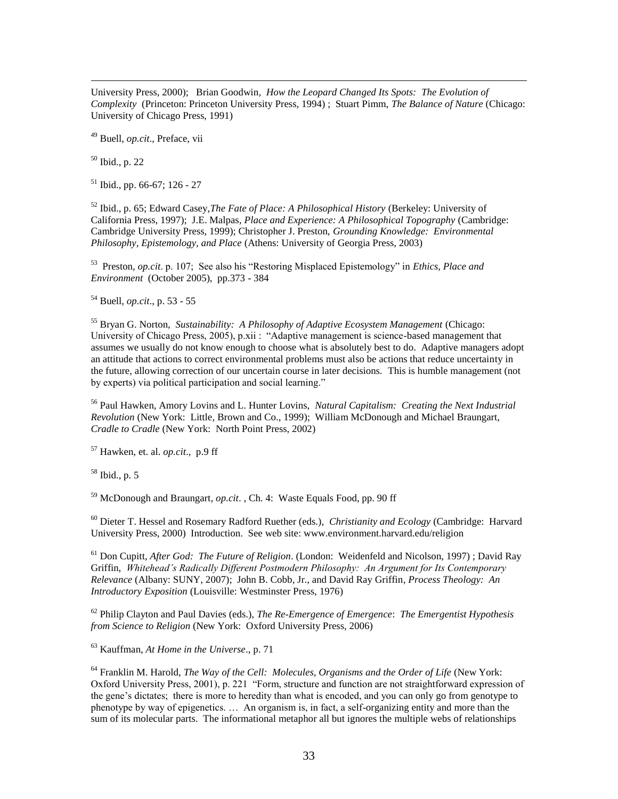University Press, 2000); Brian Goodwin*, How the Leopard Changed Its Spots: The Evolution of Complexity* (Princeton: Princeton University Press, 1994) ; Stuart Pimm, *The Balance of Nature* (Chicago: University of Chicago Press, 1991)

<sup>49</sup> Buell, *op.cit*., Preface, vii

<sup>50</sup> Ibid., p. 22

 $\overline{a}$ 

 $51$  Ibid., pp. 66-67; 126 - 27

<sup>52</sup> Ibid., p. 65; Edward Casey,*The Fate of Place: A Philosophical History* (Berkeley: University of California Press, 1997); J.E. Malpas, *Place and Experience: A Philosophical Topography* (Cambridge: Cambridge University Press, 1999); Christopher J. Preston, *Grounding Knowledge: Environmental Philosophy, Epistemology, and Place* (Athens: University of Georgia Press, 2003)

53 Preston*, op.cit*. p. 107; See also his "Restoring Misplaced Epistemology" in *Ethics, Place and Environment* (October 2005), pp.373 - 384

<sup>54</sup> Buell*, op.cit*., p. 53 - 55

<sup>55</sup> Bryan G. Norton, *Sustainability: A Philosophy of Adaptive Ecosystem Management* (Chicago: University of Chicago Press, 2005), p.xii : "Adaptive management is science-based management that assumes we usually do not know enough to choose what is absolutely best to do. Adaptive managers adopt an attitude that actions to correct environmental problems must also be actions that reduce uncertainty in the future, allowing correction of our uncertain course in later decisions. This is humble management (not by experts) via political participation and social learning."

<sup>56</sup> Paul Hawken, Amory Lovins and L. Hunter Lovins, *Natural Capitalism: Creating the Next Industrial Revolution* (New York: Little, Brown and Co., 1999); William McDonough and Michael Braungart, *Cradle to Cradle* (New York: North Point Press, 2002)

<sup>57</sup> Hawken, et. al. *op.cit*., p.9 ff

 $58$  Ibid., p. 5

<sup>59</sup> McDonough and Braungart*, op.cit*. , Ch. 4: Waste Equals Food, pp. 90 ff

<sup>60</sup> Dieter T. Hessel and Rosemary Radford Ruether (eds.), *Christianity and Ecology* (Cambridge: Harvard University Press, 2000) Introduction. See web site: www.environment.harvard.edu/religion

<sup>61</sup> Don Cupitt, *After God: The Future of Religion*. (London: Weidenfeld and Nicolson, 1997) ; David Ray Griffin, *Whitehead's Radically Different Postmodern Philosophy: An Argument for Its Contemporary Relevance* (Albany: SUNY, 2007); John B. Cobb, Jr., and David Ray Griffin*, Process Theology: An Introductory Exposition* (Louisville: Westminster Press, 1976)

<sup>62</sup> Philip Clayton and Paul Davies (eds.), *The Re-Emergence of Emergence*: *The Emergentist Hypothesis from Science to Religion* (New York: Oxford University Press, 2006)

<sup>63</sup> Kauffman, *At Home in the Universe*., p. 71

<sup>64</sup> Franklin M. Harold, *The Way of the Cell: Molecules, Organisms and the Order of Life* (New York: Oxford University Press, 2001), p. 221 "Form, structure and function are not straightforward expression of the gene's dictates; there is more to heredity than what is encoded, and you can only go from genotype to phenotype by way of epigenetics. … An organism is, in fact, a self-organizing entity and more than the sum of its molecular parts. The informational metaphor all but ignores the multiple webs of relationships